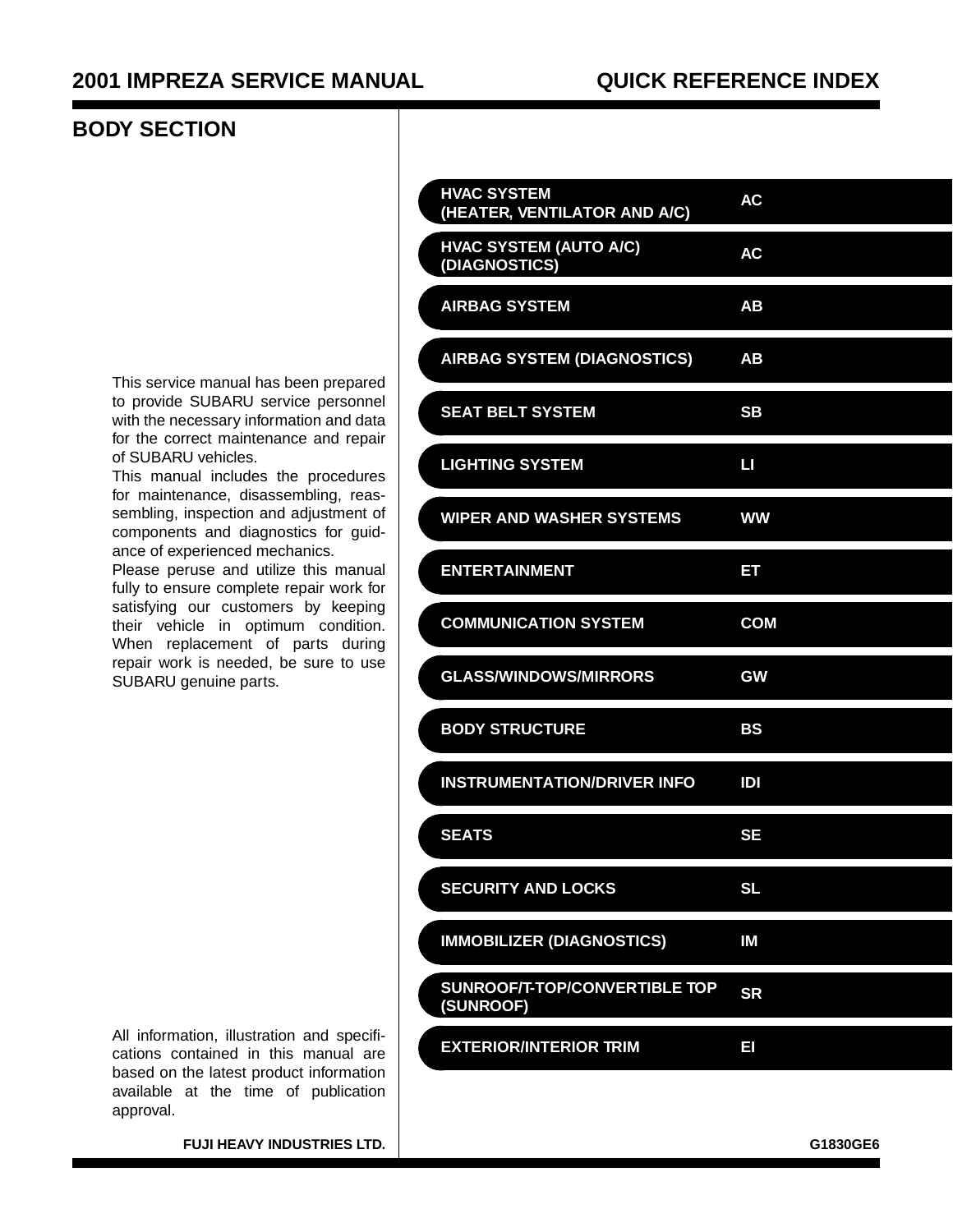#### **BODY SECTION**

This service manual has been prepared to provide SUBARU service personnel with the necessary information and data for the correct maintenance and repair of SUBARU vehicles.

This manual includes the procedures for maintenance, disassembling, reassembling, inspection and adjustment of components and diagnostics for guidance of experienced mechanics.

Please peruse and utilize this manual fully to ensure complete repair work for satisfying our customers by keeping their vehicle in optimum condition. When replacement of parts during repair work is needed, be sure to use SUBARU genuine parts.

| <b>HVAC SYSTEM</b><br>(HEATER, VENTILATOR AND A/C) | AC         |
|----------------------------------------------------|------------|
| <b>HVAC SYSTEM (AUTO A/C)</b><br>(DIAGNOSTICS)     | <b>AC</b>  |
| <b>AIRBAG SYSTEM</b>                               | AB         |
| <b>AIRBAG SYSTEM (DIAGNOSTICS)</b>                 | AB         |
| <b>SEAT BELT SYSTEM</b>                            | <b>SB</b>  |
| <b>LIGHTING SYSTEM</b>                             | Ш          |
| <b>WIPER AND WASHER SYSTEMS</b>                    | <b>WW</b>  |
| <b>ENTERTAINMENT</b>                               | EΤ         |
| <b>COMMUNICATION SYSTEM</b>                        | <b>COM</b> |
| <b>GLASS/WINDOWS/MIRRORS</b>                       | <b>GW</b>  |
| <b>BODY STRUCTURE</b>                              | BS         |
| <b>INSTRUMENTATION/DRIVER INFO</b>                 | IDI        |
| <b>SEATS</b>                                       | <b>SE</b>  |
| <b>SECURITY AND LOCKS</b>                          | <b>SL</b>  |
| <b>IMMOBILIZER (DIAGNOSTICS)</b>                   | IM         |
| SUNROOF/T-TOP/CONVERTIBLE TOP<br>(SUNROOF)         | <b>SR</b>  |
| <b>EXTERIOR/INTERIOR TRIM</b>                      | E          |
|                                                    |            |

All information, illustration and specifications contained in this manual are based on the latest product information available at the time of publication approval.

**FUJI HEAVY INDUSTRIES LTD.** GLASSING THE CONSTRUCTED AND THE CONSTRUCTED ASSOCIATED ASSOCIATED ASSOCIATED ASSOCIATED ASSOCIATED ASSOCIATED ASSOCIATED ASSOCIATED ASSOCIATED ASSOCIATED ASSOCIATED ASSOCIATED ASSOCIATED ASSOC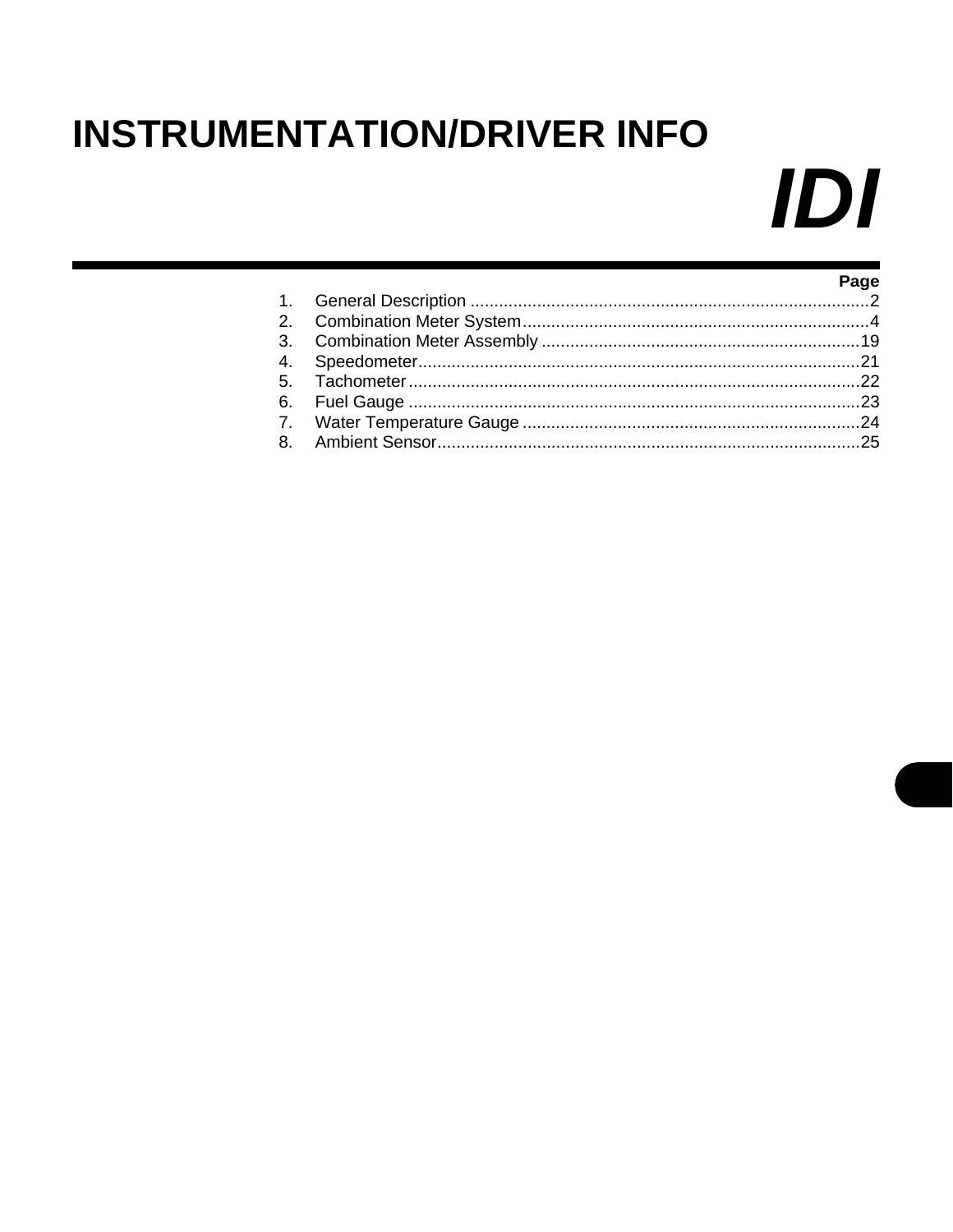# <span id="page-1-0"></span>**INSTRUMENTATION/DRIVER INFO**

# IDI

|  | Page |
|--|------|
|  |      |
|  |      |
|  |      |
|  |      |
|  |      |
|  |      |
|  |      |
|  |      |
|  |      |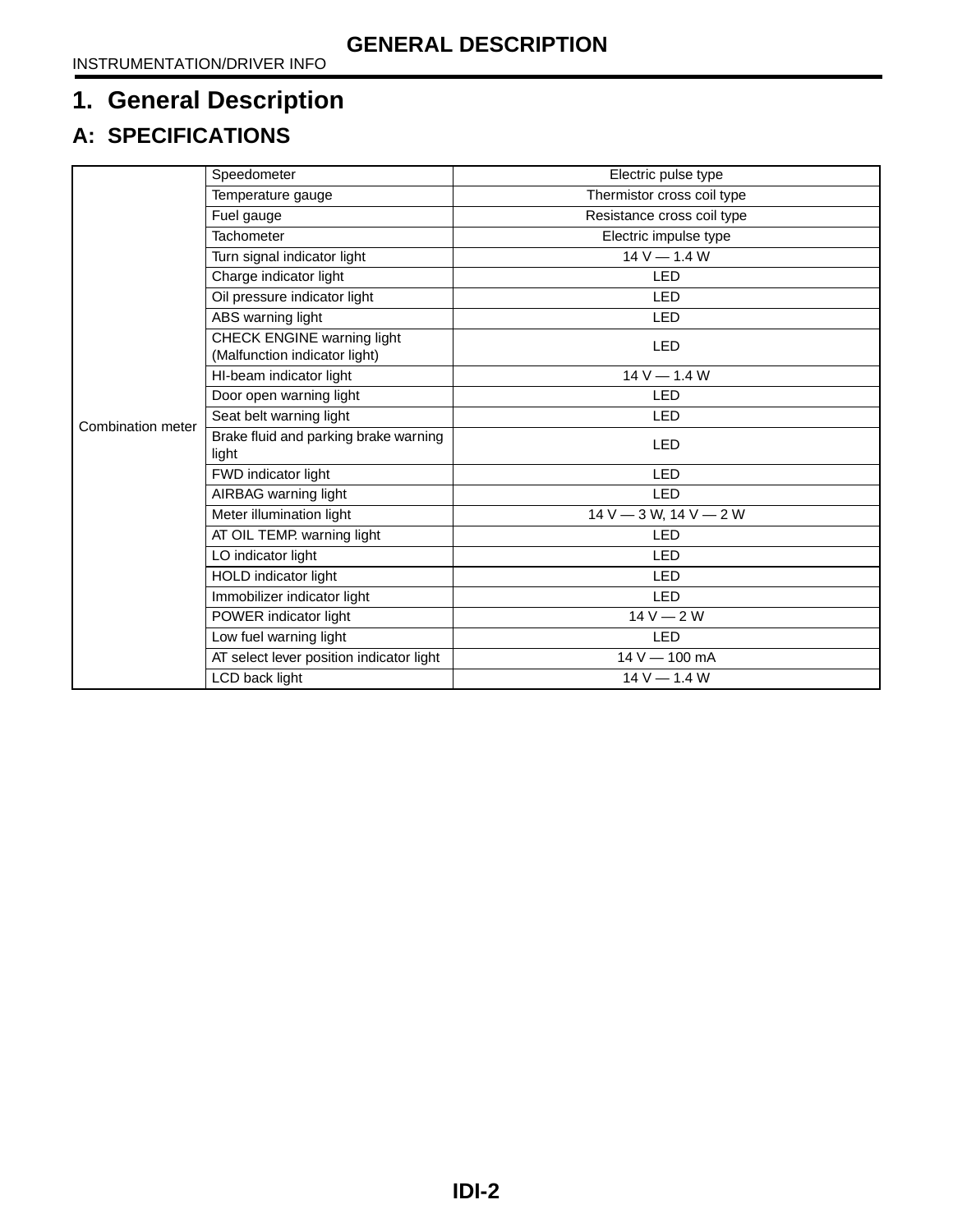# <span id="page-2-0"></span>**1. General Description**

# **A: SPECIFICATIONS**

|                   | Speedometer                                                 | Electric pulse type         |
|-------------------|-------------------------------------------------------------|-----------------------------|
|                   | Temperature gauge                                           | Thermistor cross coil type  |
|                   | Fuel gauge                                                  | Resistance cross coil type  |
|                   | <b>Tachometer</b>                                           | Electric impulse type       |
|                   | Turn signal indicator light                                 | $14 V - 1.4 W$              |
|                   | Charge indicator light                                      | <b>LED</b>                  |
|                   | Oil pressure indicator light                                | <b>LED</b>                  |
| Combination meter | ABS warning light                                           | <b>LED</b>                  |
|                   | CHECK ENGINE warning light<br>(Malfunction indicator light) | <b>LED</b>                  |
|                   | HI-beam indicator light                                     | $14 V - 1.4 W$              |
|                   | Door open warning light                                     | <b>LED</b>                  |
|                   | Seat belt warning light                                     | <b>LED</b>                  |
|                   | Brake fluid and parking brake warning<br>light              | <b>LED</b>                  |
|                   | FWD indicator light                                         | <b>LED</b>                  |
|                   | AIRBAG warning light                                        | <b>LED</b>                  |
|                   | Meter illumination light                                    | $14 V - 3 W$ , $14 V - 2 W$ |
|                   | AT OIL TEMP. warning light                                  | LED                         |
|                   | LO indicator light                                          | <b>LED</b>                  |
|                   | HOLD indicator light                                        | <b>LED</b>                  |
|                   | Immobilizer indicator light                                 | <b>LED</b>                  |
|                   | POWER indicator light                                       | $14V - 2W$                  |
|                   | Low fuel warning light                                      | <b>LED</b>                  |
|                   | AT select lever position indicator light                    | 14 V - 100 mA               |
|                   | LCD back light                                              | $14 V - 1.4 W$              |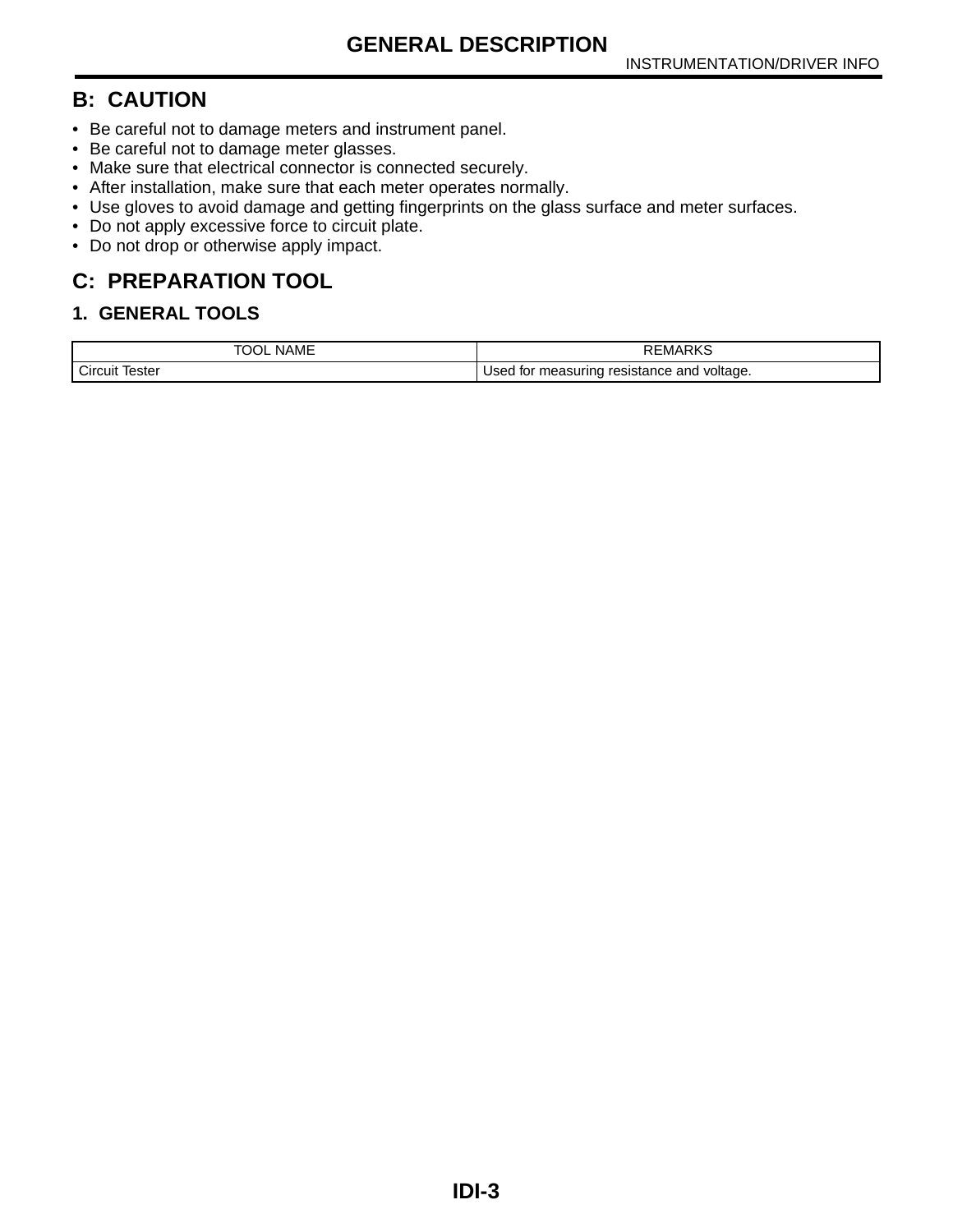#### **B: CAUTION**

- Be careful not to damage meters and instrument panel.
- Be careful not to damage meter glasses.
- Make sure that electrical connector is connected securely.
- After installation, make sure that each meter operates normally.
- Use gloves to avoid damage and getting fingerprints on the glass surface and meter surfaces.
- Do not apply excessive force to circuit plate.
- Do not drop or otherwise apply impact.

# **C: PREPARATION TOOL**

#### **1. GENERAL TOOLS**

| <b>NAME</b><br>х                    | EMARKS                                                                |
|-------------------------------------|-----------------------------------------------------------------------|
| $\sim$<br>lester<br>Circuit<br>____ | ' voltage.<br>resistance and<br>measuring<br>Used<br>tor<br>_ _ _ _ _ |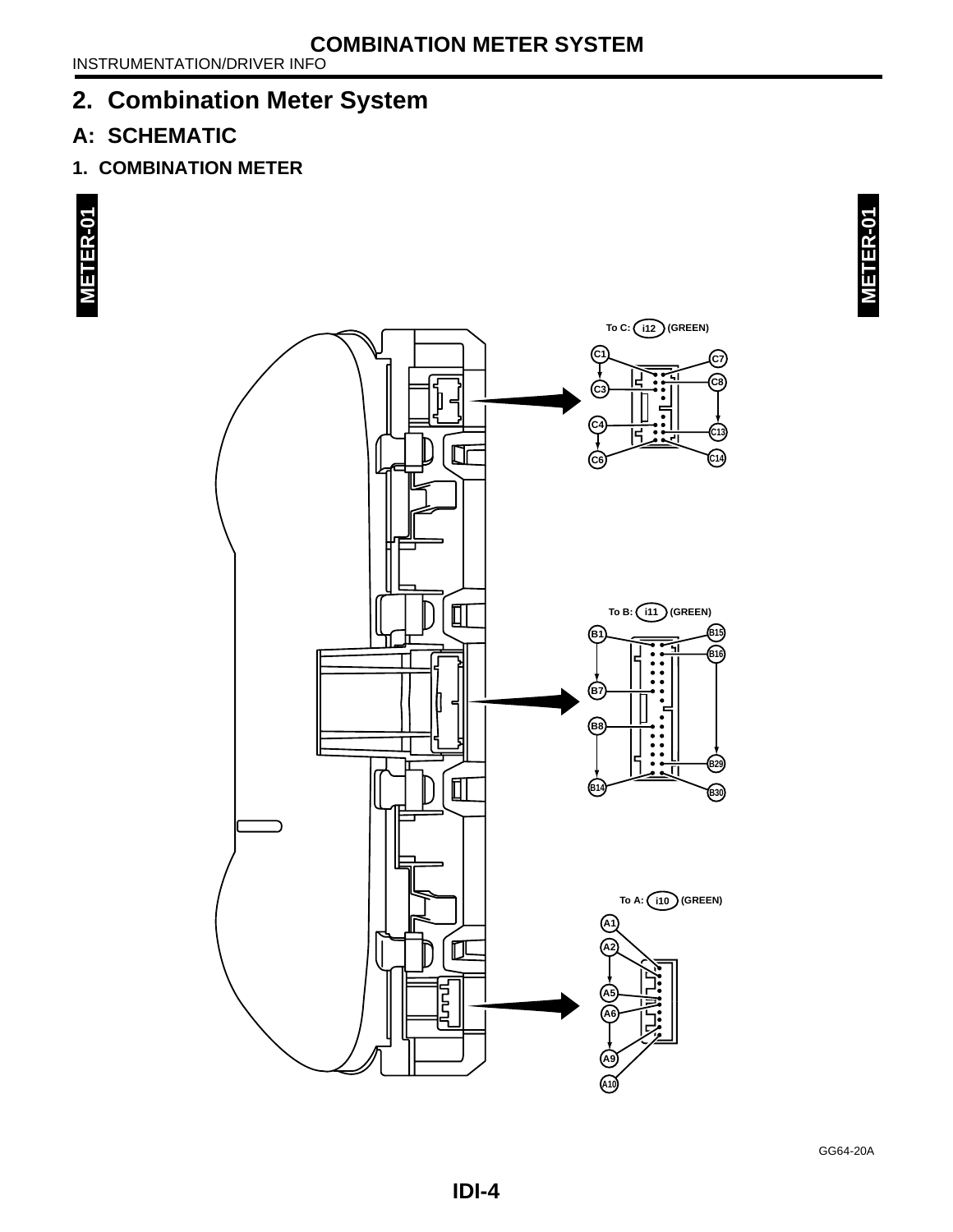# <span id="page-4-0"></span>**2. Combination Meter System**

# **A: SCHEMATIC**

**1. COMBINATION METER**





**A10**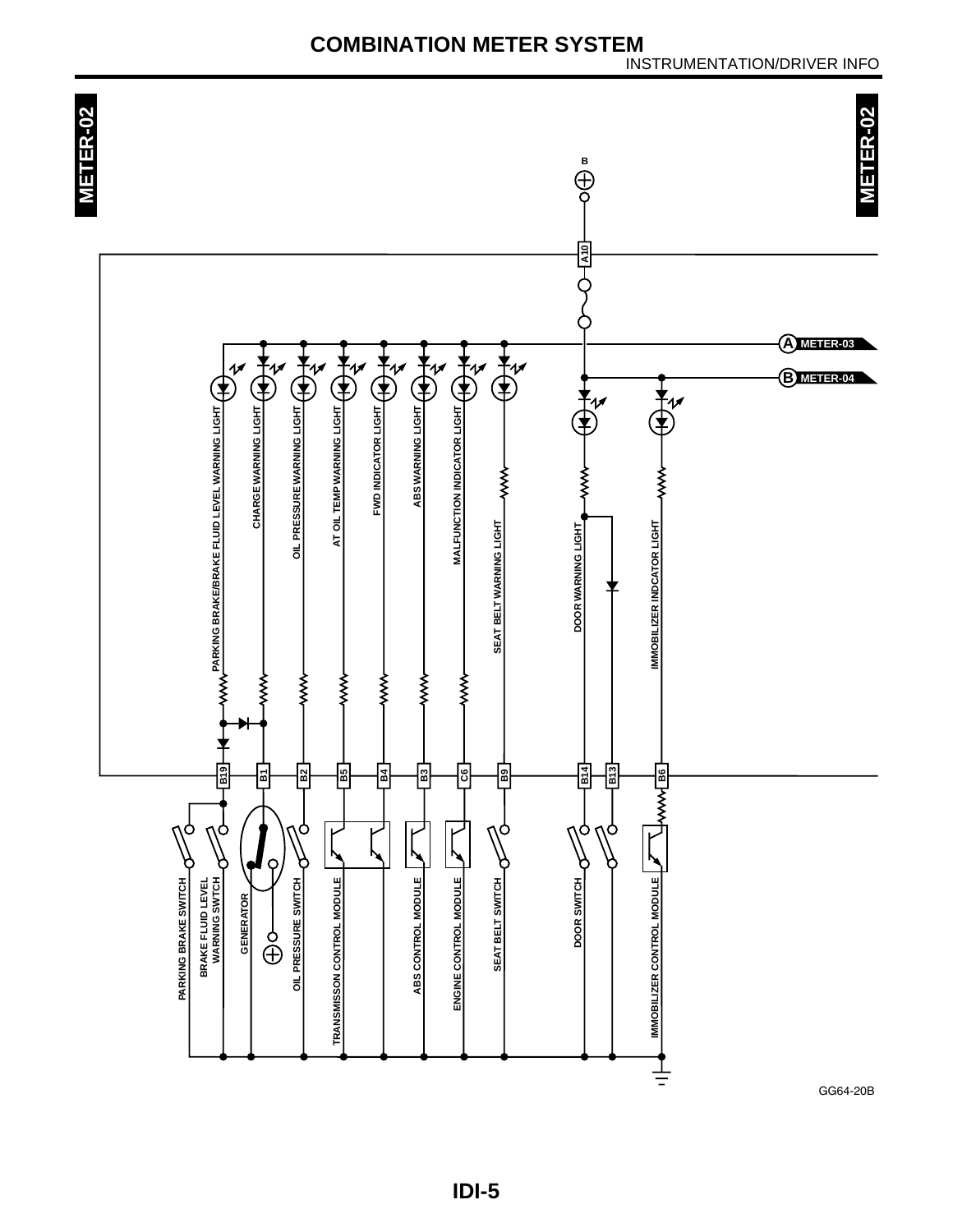**METER-02**

**METER-02** 

METER-02 **METER-02 B**<br>
<br>
<br>
<br>
<br>
<br>
<br>
<br>
<br><br>
<br><br><br><br> **A10** Ò **A METER-03** AND THE PARKWASHING  $\frac{1}{\frac{1}{x}}$ **AND INDIANAL CONTROL**  $\bigoplus^{\bullet}_{\mathcal{U}}$ MALFUNCTION INDICATOR LIGHT (A) A AT OIL TEMP WARNING LIGHT (A) **B METER-04** 夬 Ť٦  $\bigoplus^4$ WWW PARKING BRAKE/BRAKE FLUID LEVEL WARNING LIGHT CHARGE WARNING LIGHT **PARKING BRAKE/BRAKE FLUID LEVEL WARNING LIGHT CHARGE WARNING LIGHT OIL PRESSURE WARNING LIGHT AT OIL TEMP WARNING LIGHT FWD INDICATOR LIGHT ABS WARNING LIGHT MALFUNCTION INDICATOR LIGHT** くく くくく ≸ **DOOR WARNING LIGHT** SEAT BELT WARNING LIGHT **SEAT BELT WARNING LIGHT DOOR WARNING LIGHT IMMOBILIZER INDCATOR LIGHT IMMOBILIZER INDCATOR LIGHT** きく くくく くくく くくく ミミ ≸ **B5 C6 B14 B4 B3 B9 B13 B19 B2**  $\frac{1}{\sqrt{2}}$ **B1 IMMOBILIZER CONTROL MODULE IN A SECOND ROLL B6** Ò ტ ٦Ò Ö О O, Y, þ ל Q ¢ ¢ OIL PRESSURE SWITCH TRANSMISSON CONTROL MODULE ABS CONTROL MODULE **IMMOBILIZER CONTROL MODULE** PARKING BRAKE SWITCH ENGINE CONTROL MODULE SEAT BELT SWITCH DOOR SWITCH **BRAKE FLUID LEVEL<br>WARNING SWTCH BRAKE FLUID LEVEL PARKING BRAKE SWITCH WARNING SWTCH OIL PRESSURE SWITCH TRANSMISSON CONTROL MODULE ABS CONTROL MODULE ENGINE CONTROL MODULE SEAT BELT SWITCH DOOR SWITCH GENERATOR GENERATOR** ა<br>⊕ 1

GG64-20B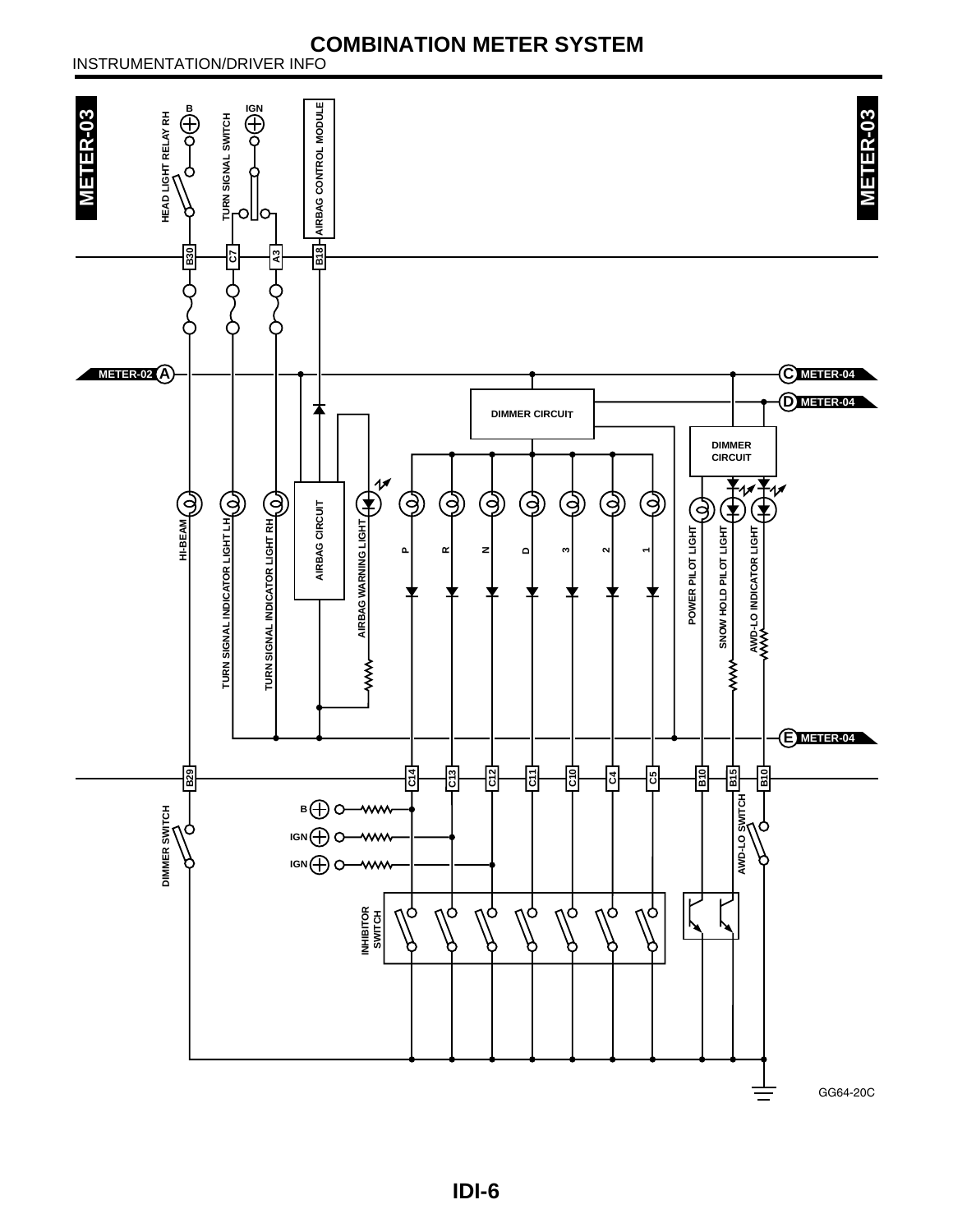#### INSTRUMENTATION/DRIVER INFO



**IDI-6**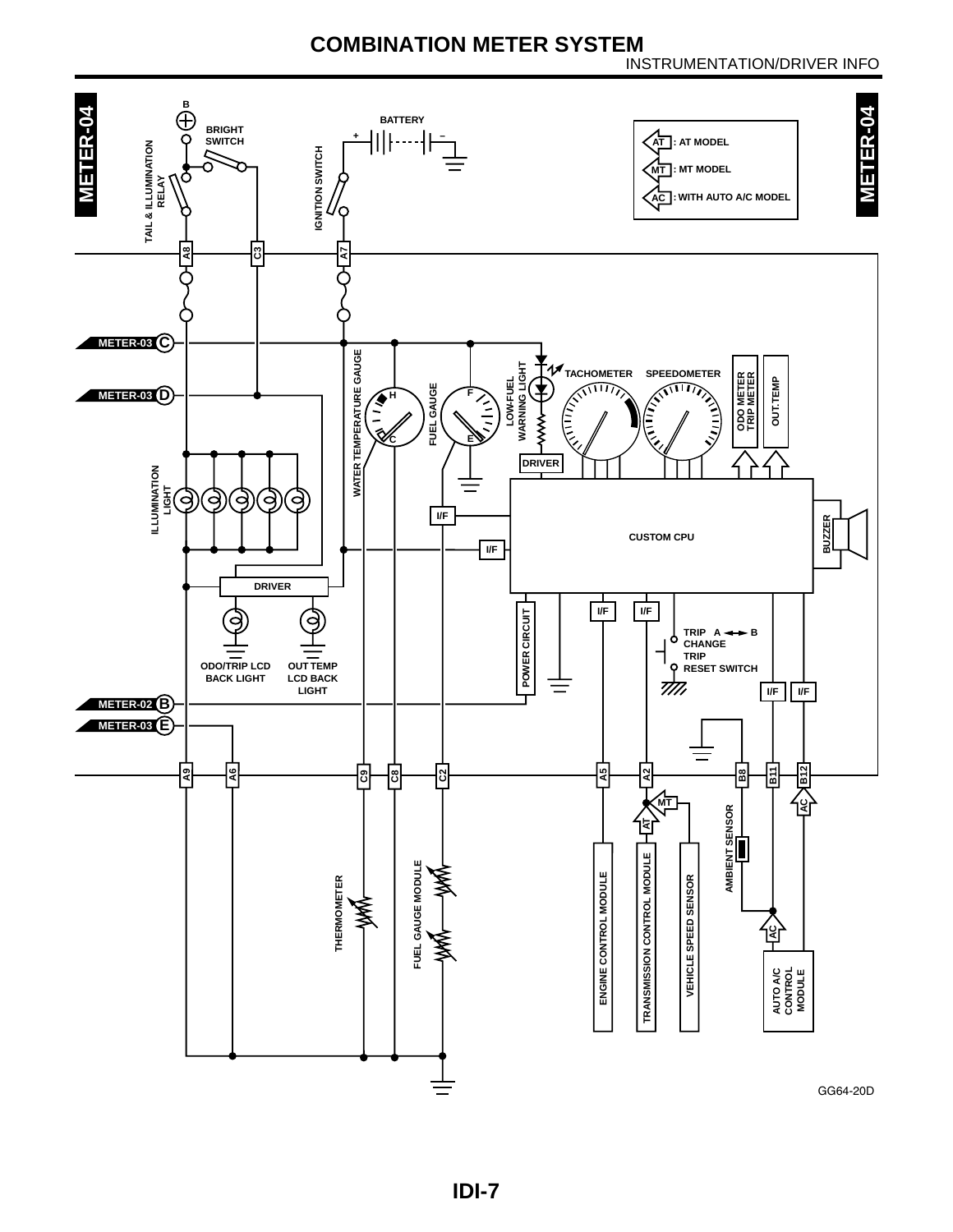#### INSTRUMENTATION/DRIVER INFO

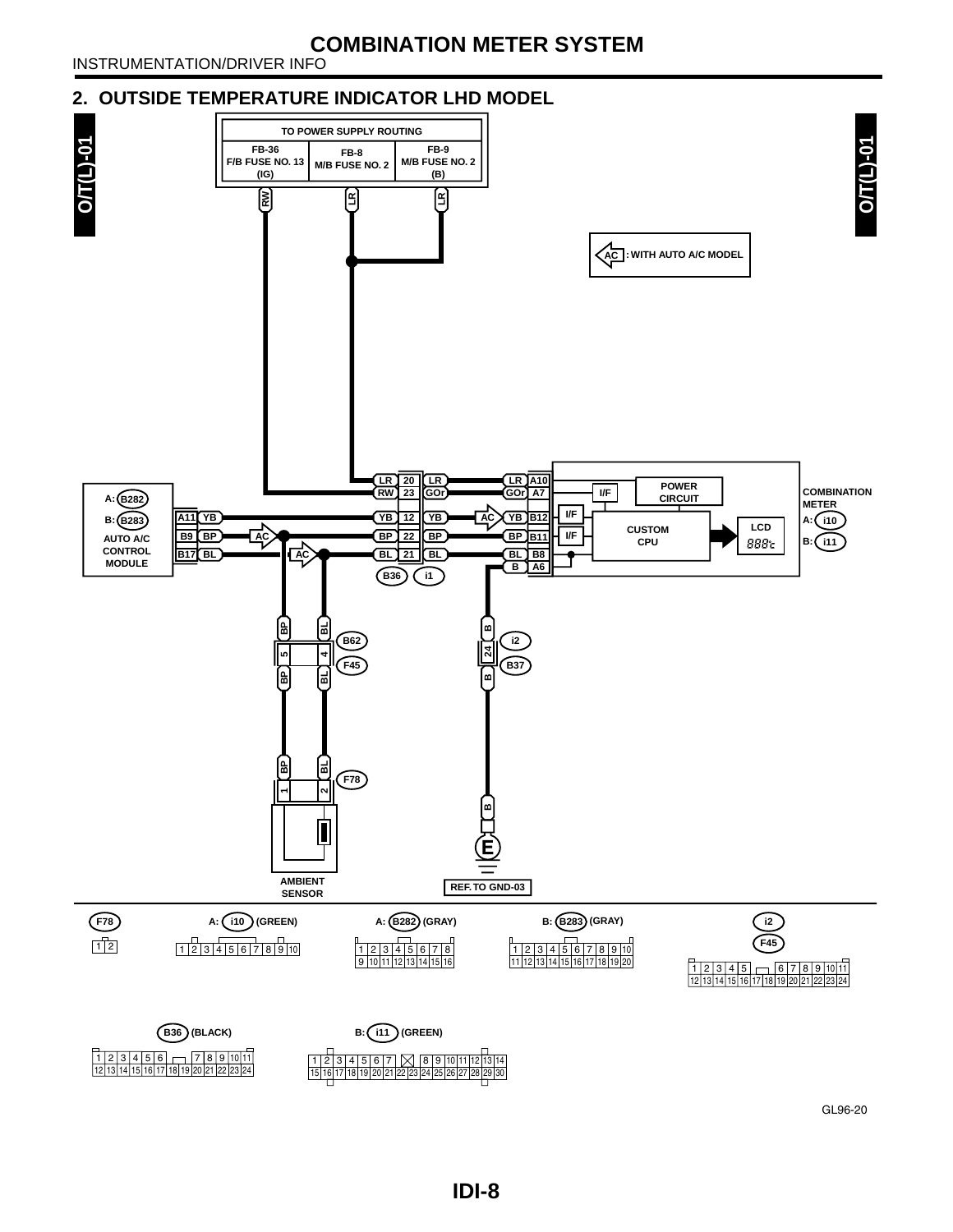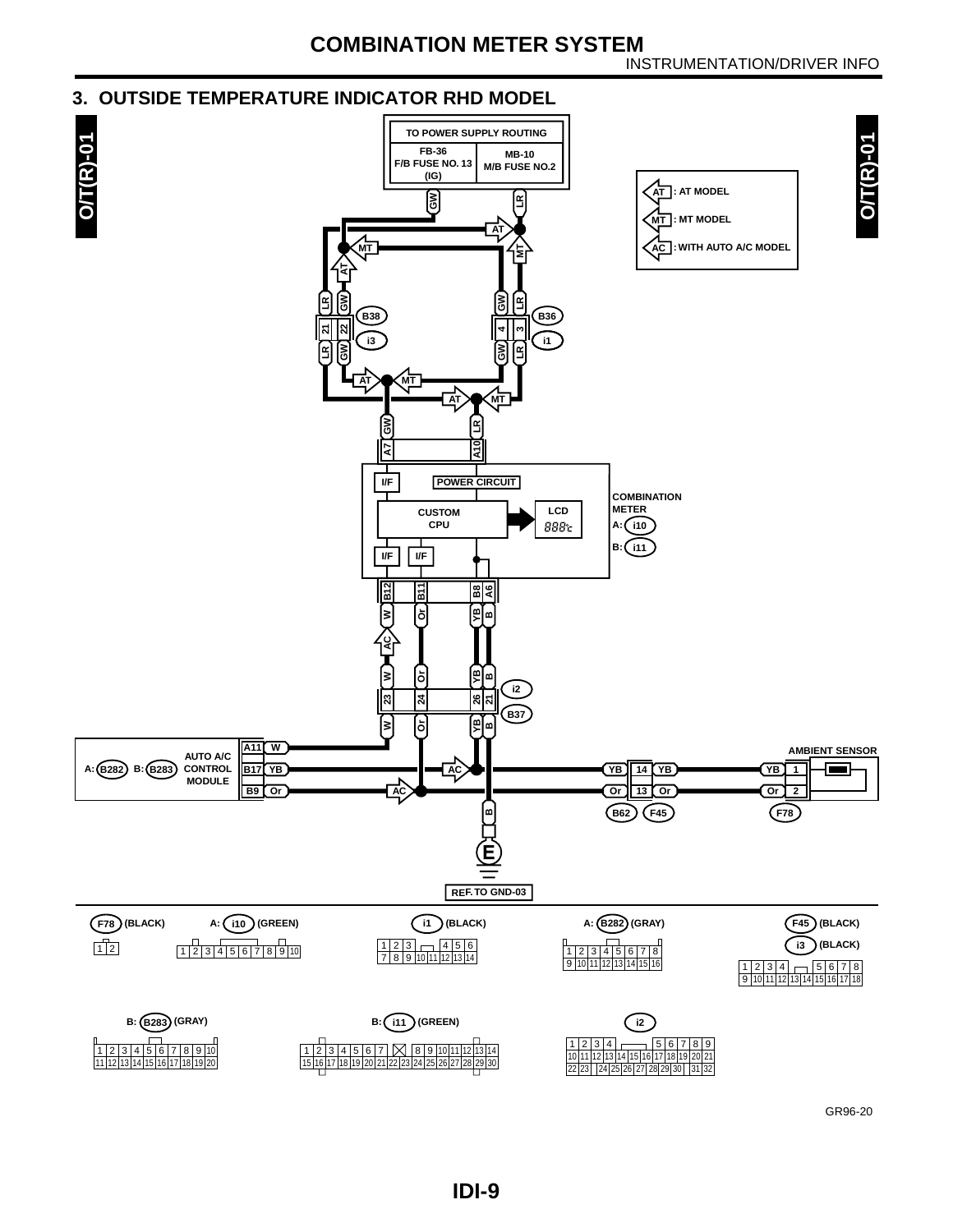#### **3. OUTSIDE TEMPERATURE INDICATOR RHD MODEL**



GR96-20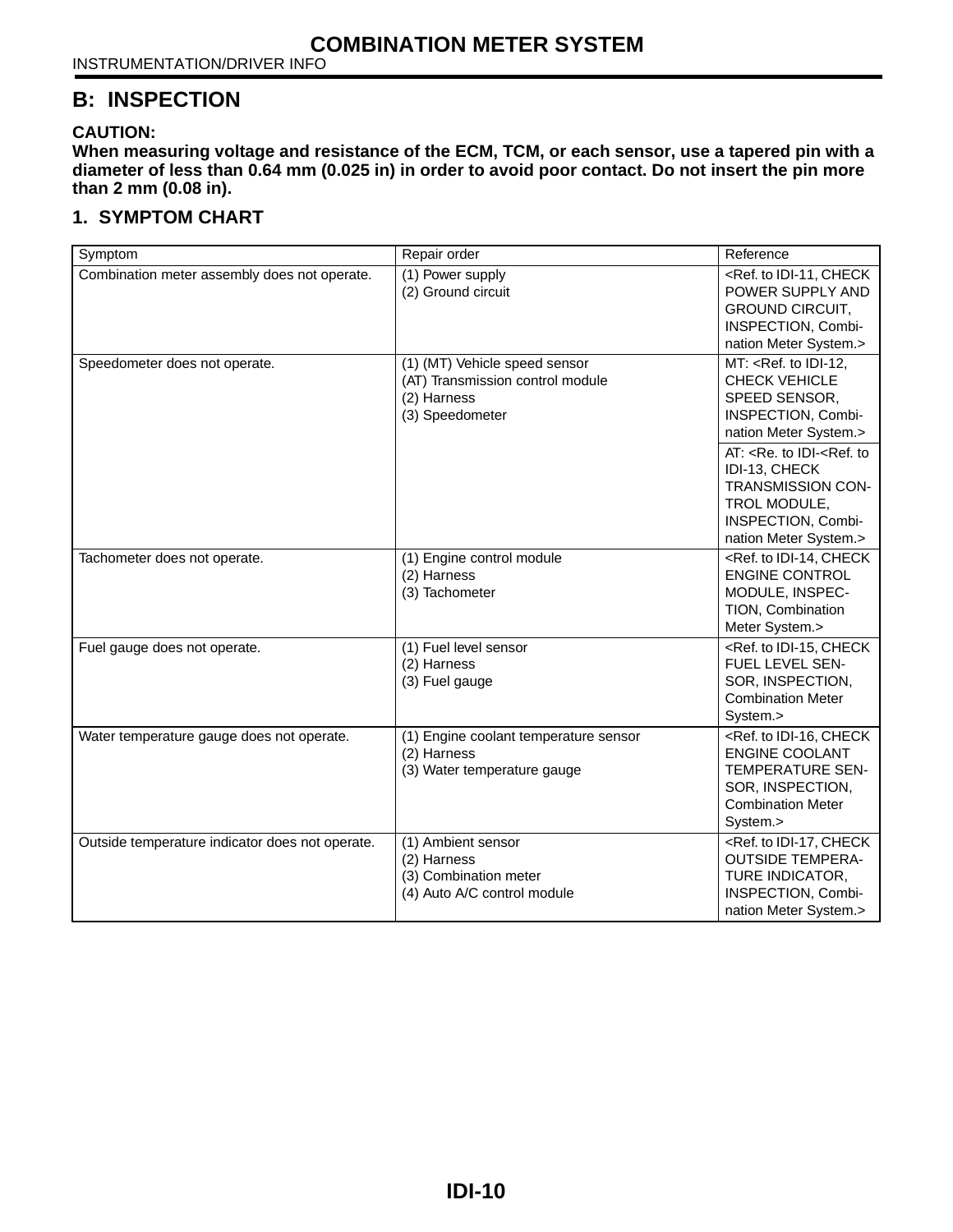#### **B: INSPECTION**

#### **CAUTION:**

**When measuring voltage and resistance of the ECM, TCM, or each sensor, use a tapered pin with a diameter of less than 0.64 mm (0.025 in) in order to avoid poor contact. Do not insert the pin more than 2 mm (0.08 in).**

#### **1. SYMPTOM CHART**

| Symptom                                         | Repair order                                                                                        | Reference                                                                                                                                                                                                                                                     |
|-------------------------------------------------|-----------------------------------------------------------------------------------------------------|---------------------------------------------------------------------------------------------------------------------------------------------------------------------------------------------------------------------------------------------------------------|
| Combination meter assembly does not operate.    | (1) Power supply<br>(2) Ground circuit                                                              | <ref. check<br="" idi-11,="" to="">POWER SUPPLY AND<br/><b>GROUND CIRCUIT,</b><br/>INSPECTION, Combi-<br/>nation Meter System.&gt;</ref.>                                                                                                                     |
| Speedometer does not operate.                   | (1) (MT) Vehicle speed sensor<br>(AT) Transmission control module<br>(2) Harness<br>(3) Speedometer | $MT: Ref. to IDI-12,$<br>CHECK VEHICLE<br>SPEED SENSOR,<br>INSPECTION, Combi-<br>nation Meter System.><br>AT: <re. idi-<ref.="" to="" to<br="">IDI-13, CHECK<br/>TRANSMISSION CON-<br/>TROL MODULE,<br/>INSPECTION, Combi-<br/>nation Meter System.&gt;</re.> |
| Tachometer does not operate.                    | (1) Engine control module<br>(2) Harness<br>(3) Tachometer                                          | <ref. check<br="" idi-14,="" to=""><b>ENGINE CONTROL</b><br/>MODULE, INSPEC-<br/>TION, Combination<br/>Meter System.&gt;</ref.>                                                                                                                               |
| Fuel gauge does not operate.                    | (1) Fuel level sensor<br>(2) Harness<br>(3) Fuel gauge                                              | <ref. check<br="" idi-15,="" to="">FUEL LEVEL SEN-<br/>SOR, INSPECTION,<br/><b>Combination Meter</b><br/>System.&gt;</ref.>                                                                                                                                   |
| Water temperature gauge does not operate.       | (1) Engine coolant temperature sensor<br>(2) Harness<br>(3) Water temperature gauge                 | <ref. check<br="" idi-16,="" to=""><b>ENGINE COOLANT</b><br/><b>TEMPERATURE SEN-</b><br/>SOR, INSPECTION,<br/><b>Combination Meter</b><br/>System.&gt;</ref.>                                                                                                 |
| Outside temperature indicator does not operate. | (1) Ambient sensor<br>(2) Harness<br>(3) Combination meter<br>(4) Auto A/C control module           | <ref. check<br="" idi-17,="" to=""><b>OUTSIDE TEMPERA-</b><br/>TURE INDICATOR,<br/>INSPECTION, Combi-<br/>nation Meter System.&gt;</ref.>                                                                                                                     |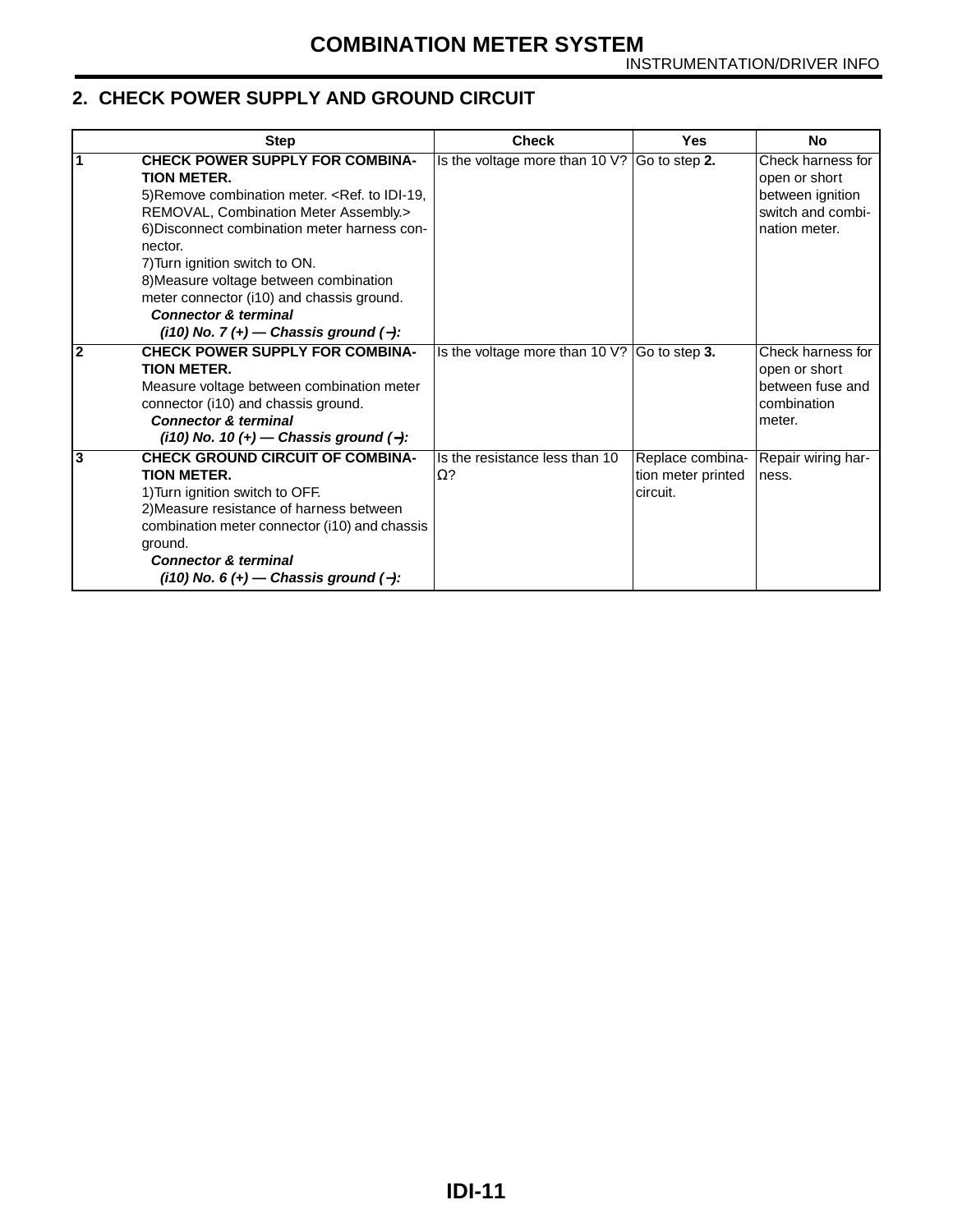#### <span id="page-11-0"></span>**2. CHECK POWER SUPPLY AND GROUND CIRCUIT**

<span id="page-11-2"></span><span id="page-11-1"></span>

| <b>Step</b>                                                                                                                                                                                                                                                                                                                                                                                                                    | <b>Check</b>                                         | Yes                                                | <b>No</b>                                                                                    |
|--------------------------------------------------------------------------------------------------------------------------------------------------------------------------------------------------------------------------------------------------------------------------------------------------------------------------------------------------------------------------------------------------------------------------------|------------------------------------------------------|----------------------------------------------------|----------------------------------------------------------------------------------------------|
| <b>CHECK POWER SUPPLY FOR COMBINA-</b><br><b>TION METER.</b><br>5) Remove combination meter. < Ref. to IDI-19,<br>REMOVAL, Combination Meter Assembly.><br>6) Disconnect combination meter harness con-<br>nector.<br>7) Turn ignition switch to ON.<br>8) Measure voltage between combination<br>meter connector (i10) and chassis ground.<br><b>Connector &amp; terminal</b><br>$(i10)$ No. 7 $(+)$ - Chassis ground $(-)$ : | Is the voltage more than 10 $\sqrt{?}$ Go to step 2. |                                                    | Check harness for<br>open or short<br>between ignition<br>switch and combi-<br>nation meter. |
| <b>CHECK POWER SUPPLY FOR COMBINA-</b><br>$\overline{2}$<br><b>TION METER.</b><br>Measure voltage between combination meter<br>connector (i10) and chassis ground.<br><b>Connector &amp; terminal</b><br>$(i10)$ No. 10 (+) — Chassis ground (-):                                                                                                                                                                              | Is the voltage more than 10 $\sqrt{?}$ Go to step 3. |                                                    | Check harness for<br>open or short<br>between fuse and<br>combination<br>meter.              |
| <b>CHECK GROUND CIRCUIT OF COMBINA-</b><br>3<br><b>TION METER.</b><br>1) Turn ignition switch to OFF.<br>2) Measure resistance of harness between<br>combination meter connector (i10) and chassis<br>ground.<br><b>Connector &amp; terminal</b><br>$(i10)$ No. 6 $(+)$ - Chassis ground $(-)$ :                                                                                                                               | Is the resistance less than 10<br>$\Omega$ ?         | Replace combina-<br>tion meter printed<br>circuit. | Repair wiring har-<br>ness.                                                                  |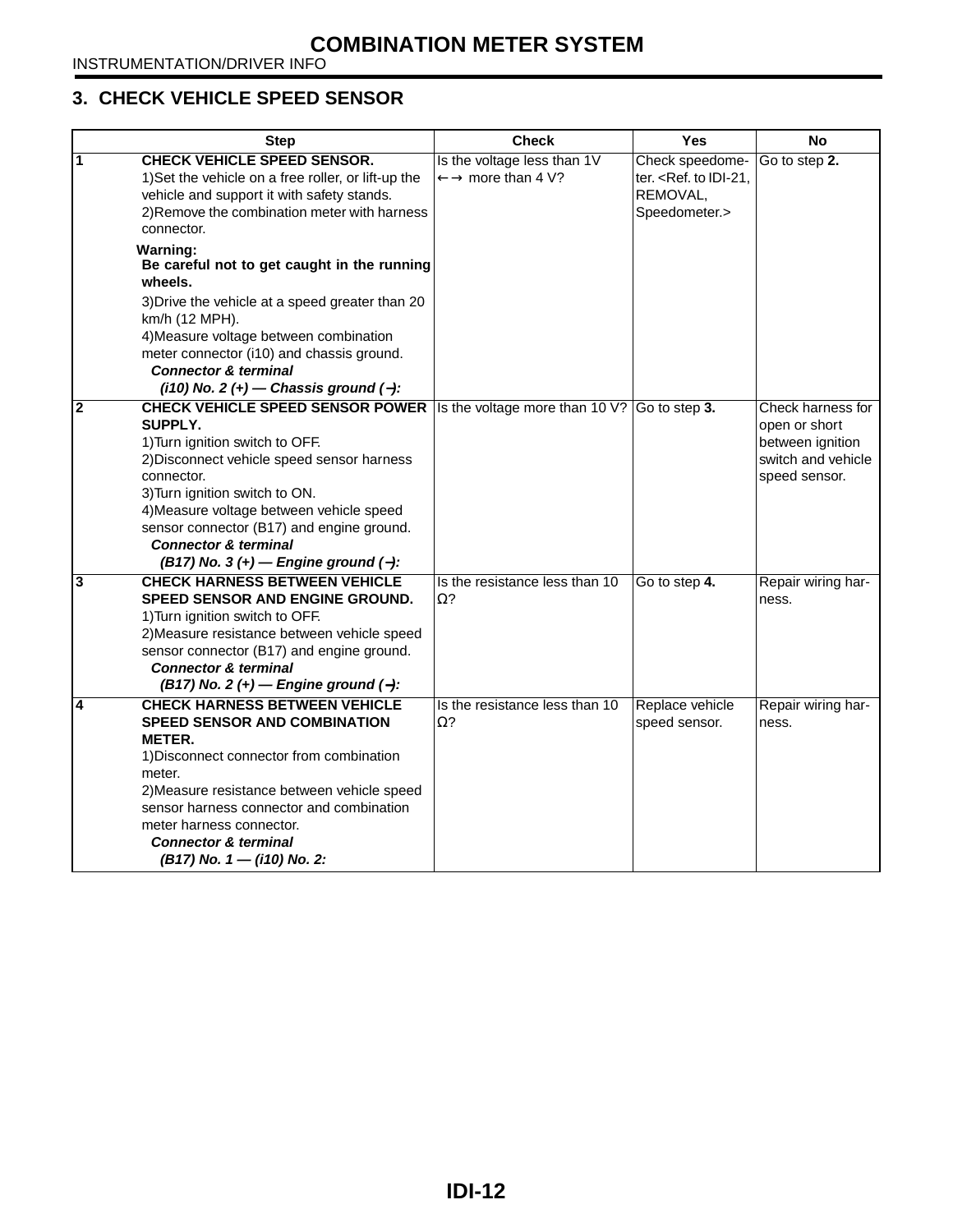#### <span id="page-12-0"></span>**3. CHECK VEHICLE SPEED SENSOR**

<span id="page-12-3"></span><span id="page-12-2"></span><span id="page-12-1"></span>

|                         | <b>Step</b>                                                                                                                                                                                                                                                                                                                                               | <b>Check</b>                                                           | <b>Yes</b>                                                             | <b>No</b>                                                                                     |
|-------------------------|-----------------------------------------------------------------------------------------------------------------------------------------------------------------------------------------------------------------------------------------------------------------------------------------------------------------------------------------------------------|------------------------------------------------------------------------|------------------------------------------------------------------------|-----------------------------------------------------------------------------------------------|
| 1                       | <b>CHECK VEHICLE SPEED SENSOR.</b><br>1) Set the vehicle on a free roller, or lift-up the<br>vehicle and support it with safety stands.<br>2) Remove the combination meter with harness<br>connector.                                                                                                                                                     | Is the voltage less than 1V<br>$\leftarrow \rightarrow$ more than 4 V? | Check speedome-<br>ter. < Ref. to IDI-21,<br>REMOVAL,<br>Speedometer.> | Go to step 2.                                                                                 |
|                         | <b>Warning:</b><br>Be careful not to get caught in the running<br>wheels.                                                                                                                                                                                                                                                                                 |                                                                        |                                                                        |                                                                                               |
|                         | 3) Drive the vehicle at a speed greater than 20<br>km/h (12 MPH).<br>4) Measure voltage between combination<br>meter connector (i10) and chassis ground.<br><b>Connector &amp; terminal</b><br>$(i10)$ No. 2 $(+)$ - Chassis ground $(-)$ :                                                                                                               |                                                                        |                                                                        |                                                                                               |
| $\overline{\mathbf{2}}$ | <b>CHECK VEHICLE SPEED SENSOR POWER</b><br>SUPPLY.<br>1) Turn ignition switch to OFF.<br>2) Disconnect vehicle speed sensor harness<br>connector.<br>3) Turn ignition switch to ON.<br>4) Measure voltage between vehicle speed<br>sensor connector (B17) and engine ground.<br><b>Connector &amp; terminal</b><br>$(B17)$ No. 3 (+) – Engine ground (-): | Is the voltage more than 10 V? Go to step 3.                           |                                                                        | Check harness for<br>open or short<br>between ignition<br>switch and vehicle<br>speed sensor. |
| $\overline{\mathbf{3}}$ | <b>CHECK HARNESS BETWEEN VEHICLE</b><br>SPEED SENSOR AND ENGINE GROUND.<br>1) Turn ignition switch to OFF.<br>2) Measure resistance between vehicle speed<br>sensor connector (B17) and engine ground.<br><b>Connector &amp; terminal</b><br>$(B17)$ No. 2 (+) – Engine ground (-):                                                                       | Is the resistance less than 10<br>$\Omega$ ?                           | Go to step 4.                                                          | Repair wiring har-<br>ness.                                                                   |
| 4                       | <b>CHECK HARNESS BETWEEN VEHICLE</b><br><b>SPEED SENSOR AND COMBINATION</b><br><b>METER.</b><br>1) Disconnect connector from combination<br>meter.<br>2) Measure resistance between vehicle speed<br>sensor harness connector and combination<br>meter harness connector.<br><b>Connector &amp; terminal</b><br>$(B17)$ No. 1 – $(i10)$ No. 2:            | Is the resistance less than 10<br>Ω?                                   | Replace vehicle<br>speed sensor.                                       | Repair wiring har-<br>ness.                                                                   |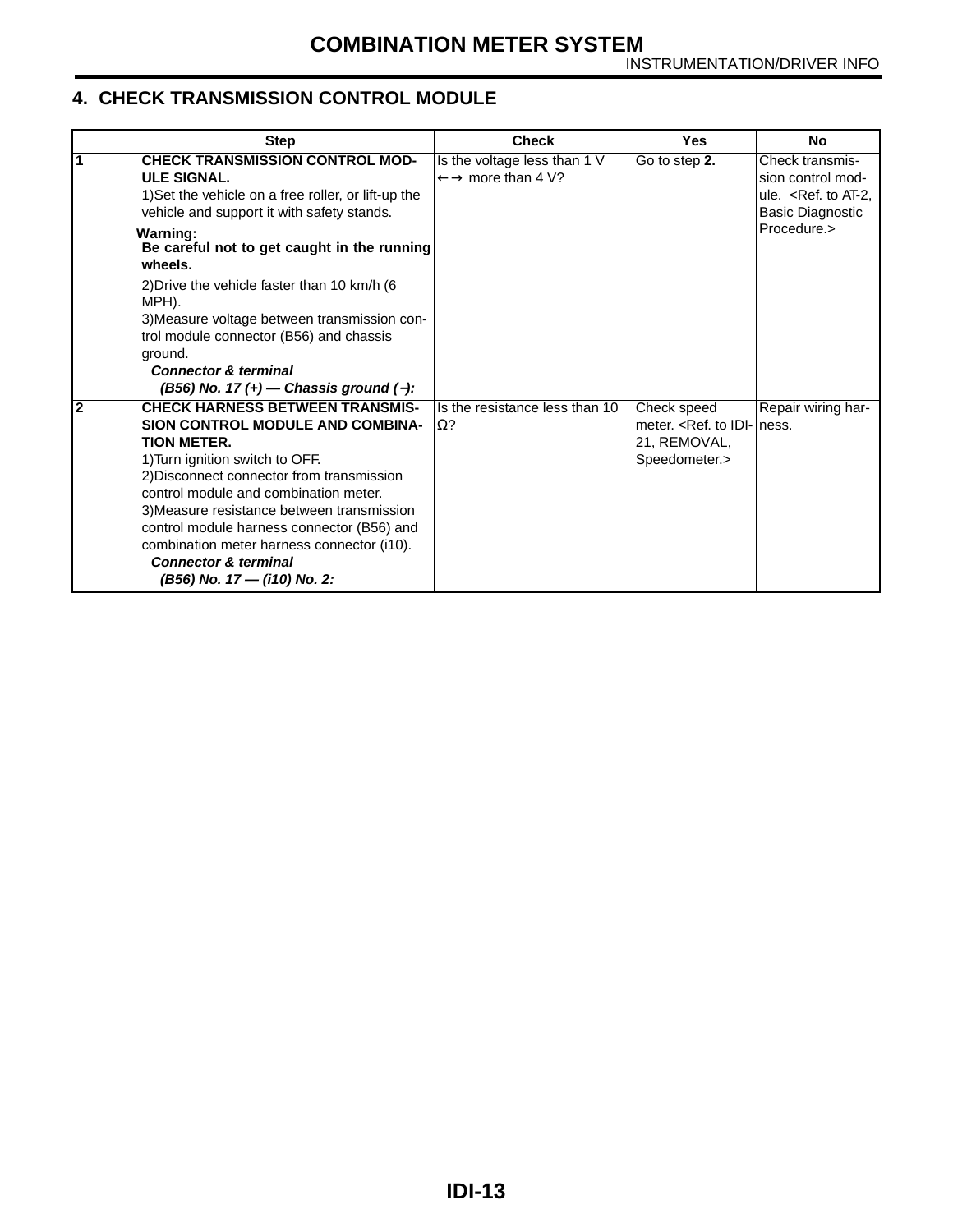#### <span id="page-13-0"></span>**4. CHECK TRANSMISSION CONTROL MODULE**

<span id="page-13-1"></span>

| <b>Step</b>                                                                                                                                                                                                                                                                                                                                                                                                                                             | <b>Check</b>                                                            | Yes                                                                   | No                                                                                           |
|---------------------------------------------------------------------------------------------------------------------------------------------------------------------------------------------------------------------------------------------------------------------------------------------------------------------------------------------------------------------------------------------------------------------------------------------------------|-------------------------------------------------------------------------|-----------------------------------------------------------------------|----------------------------------------------------------------------------------------------|
| 1<br><b>CHECK TRANSMISSION CONTROL MOD-</b><br><b>ULE SIGNAL.</b><br>1) Set the vehicle on a free roller, or lift-up the<br>vehicle and support it with safety stands.                                                                                                                                                                                                                                                                                  | Is the voltage less than 1 V<br>$\leftarrow \rightarrow$ more than 4 V? | Go to step 2.                                                         | Check transmis-<br>sion control mod-<br>ule. $\leq$ Ref. to AT-2,<br><b>Basic Diagnostic</b> |
| <b>Warning:</b><br>Be careful not to get caught in the running<br>wheels.                                                                                                                                                                                                                                                                                                                                                                               |                                                                         |                                                                       | Procedure.>                                                                                  |
| 2) Drive the vehicle faster than 10 km/h (6<br>MPH).                                                                                                                                                                                                                                                                                                                                                                                                    |                                                                         |                                                                       |                                                                                              |
| 3) Measure voltage between transmission con-<br>trol module connector (B56) and chassis<br>ground.                                                                                                                                                                                                                                                                                                                                                      |                                                                         |                                                                       |                                                                                              |
| <b>Connector &amp; terminal</b><br>$(B56)$ No. 17 $(+)$ - Chassis ground $(-)$ :                                                                                                                                                                                                                                                                                                                                                                        |                                                                         |                                                                       |                                                                                              |
| $\overline{2}$<br><b>CHECK HARNESS BETWEEN TRANSMIS-</b><br>SION CONTROL MODULE AND COMBINA-<br><b>TION METER.</b><br>1) Turn ignition switch to OFF.<br>2) Disconnect connector from transmission<br>control module and combination meter.<br>3) Measure resistance between transmission<br>control module harness connector (B56) and<br>combination meter harness connector (i10).<br><b>Connector &amp; terminal</b><br>(B56) No. 17 - (i10) No. 2: | Is the resistance less than 10<br>$\Omega$ ?                            | Check speed<br>meter. < Ref. to IDI-<br>21, REMOVAL,<br>Speedometer.> | Repair wiring har-<br>ness.                                                                  |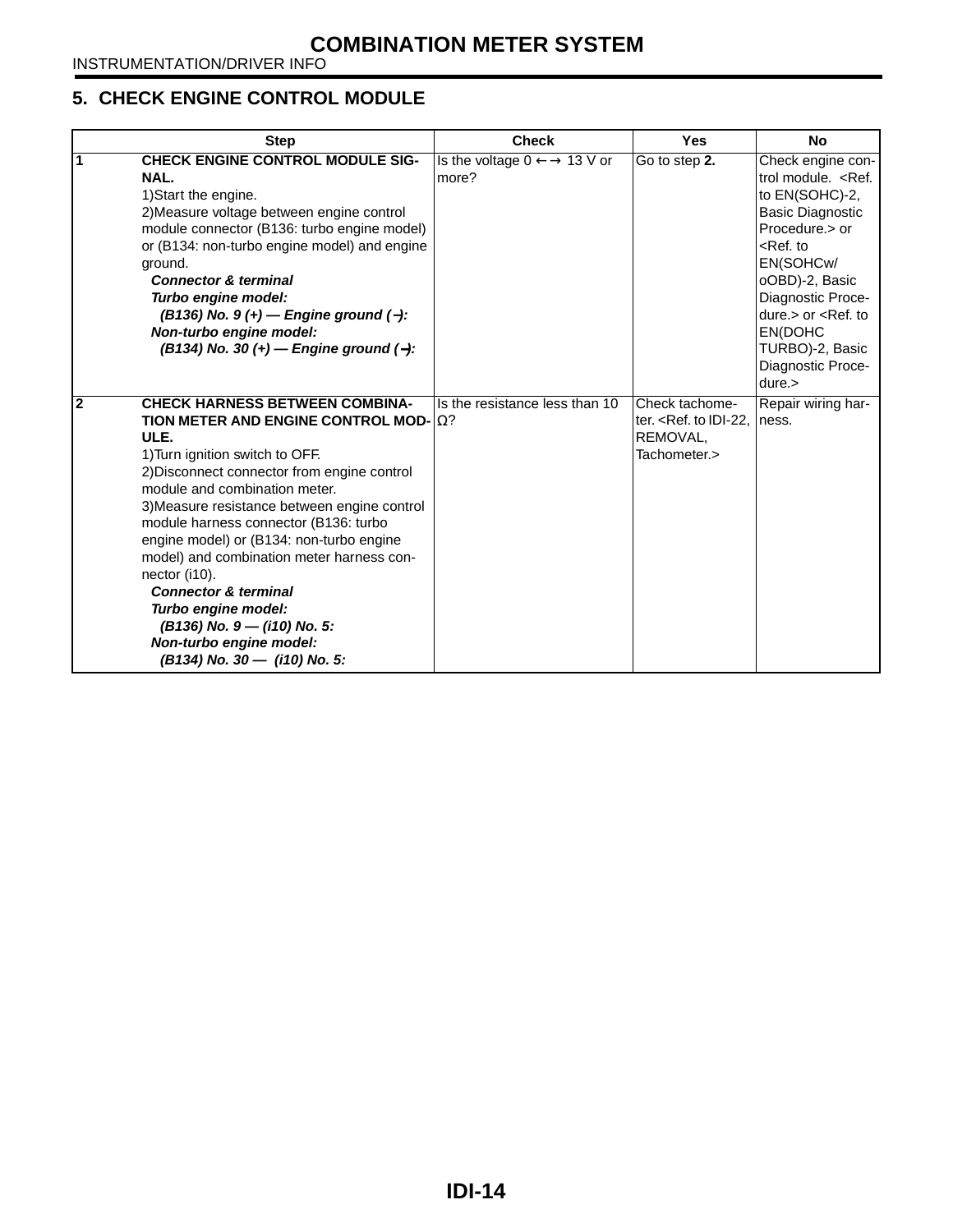#### <span id="page-14-0"></span>**5. CHECK ENGINE CONTROL MODULE**

<span id="page-14-1"></span>

|                | <b>Step</b>                                                                                                                                                                                                                                                                                                                                                                                                                                                                                                                                                                    | <b>Check</b>                                               | <b>Yes</b>                                                             | <b>No</b>                                                                                                                                                                                                                                                       |
|----------------|--------------------------------------------------------------------------------------------------------------------------------------------------------------------------------------------------------------------------------------------------------------------------------------------------------------------------------------------------------------------------------------------------------------------------------------------------------------------------------------------------------------------------------------------------------------------------------|------------------------------------------------------------|------------------------------------------------------------------------|-----------------------------------------------------------------------------------------------------------------------------------------------------------------------------------------------------------------------------------------------------------------|
| 1              | <b>CHECK ENGINE CONTROL MODULE SIG-</b><br>NAL.<br>1) Start the engine.<br>2) Measure voltage between engine control<br>module connector (B136: turbo engine model)<br>or (B134: non-turbo engine model) and engine<br>ground.<br><b>Connector &amp; terminal</b><br>Turbo engine model:<br>$(B136)$ No. 9 (+) – Engine ground (-):<br>Non-turbo engine model:<br>(B134) No. 30 (+) - Engine ground (-):                                                                                                                                                                       | Is the voltage $0 \leftarrow \rightarrow 13$ V or<br>more? | Go to step 2.                                                          | Check engine con-<br>trol module. < Ref.<br>to EN(SOHC)-2,<br><b>Basic Diagnostic</b><br>Procedure.> or<br>$<$ Ref. to<br>EN(SOHCw/<br>oOBD)-2, Basic<br>Diagnostic Proce-<br>$dure > or < Ref.$ to<br>EN(DOHC<br>TURBO)-2, Basic<br>Diagnostic Proce-<br>dure. |
| $\overline{2}$ | <b>CHECK HARNESS BETWEEN COMBINA-</b><br>TION METER AND ENGINE CONTROL MOD- $ \Omega\rangle$<br>ULE.<br>1) Turn ignition switch to OFF.<br>2) Disconnect connector from engine control<br>module and combination meter.<br>3) Measure resistance between engine control<br>module harness connector (B136: turbo<br>engine model) or (B134: non-turbo engine<br>model) and combination meter harness con-<br>nector (i10).<br><b>Connector &amp; terminal</b><br>Turbo engine model:<br>(B136) No. 9 - (i10) No. 5:<br>Non-turbo engine model:<br>(B134) No. 30 - (i10) No. 5: | Is the resistance less than 10                             | Check tachome-<br>ter. $<$ Ref. to IDI-22.<br>REMOVAL.<br>Tachometer.> | Repair wiring har-<br>ness.                                                                                                                                                                                                                                     |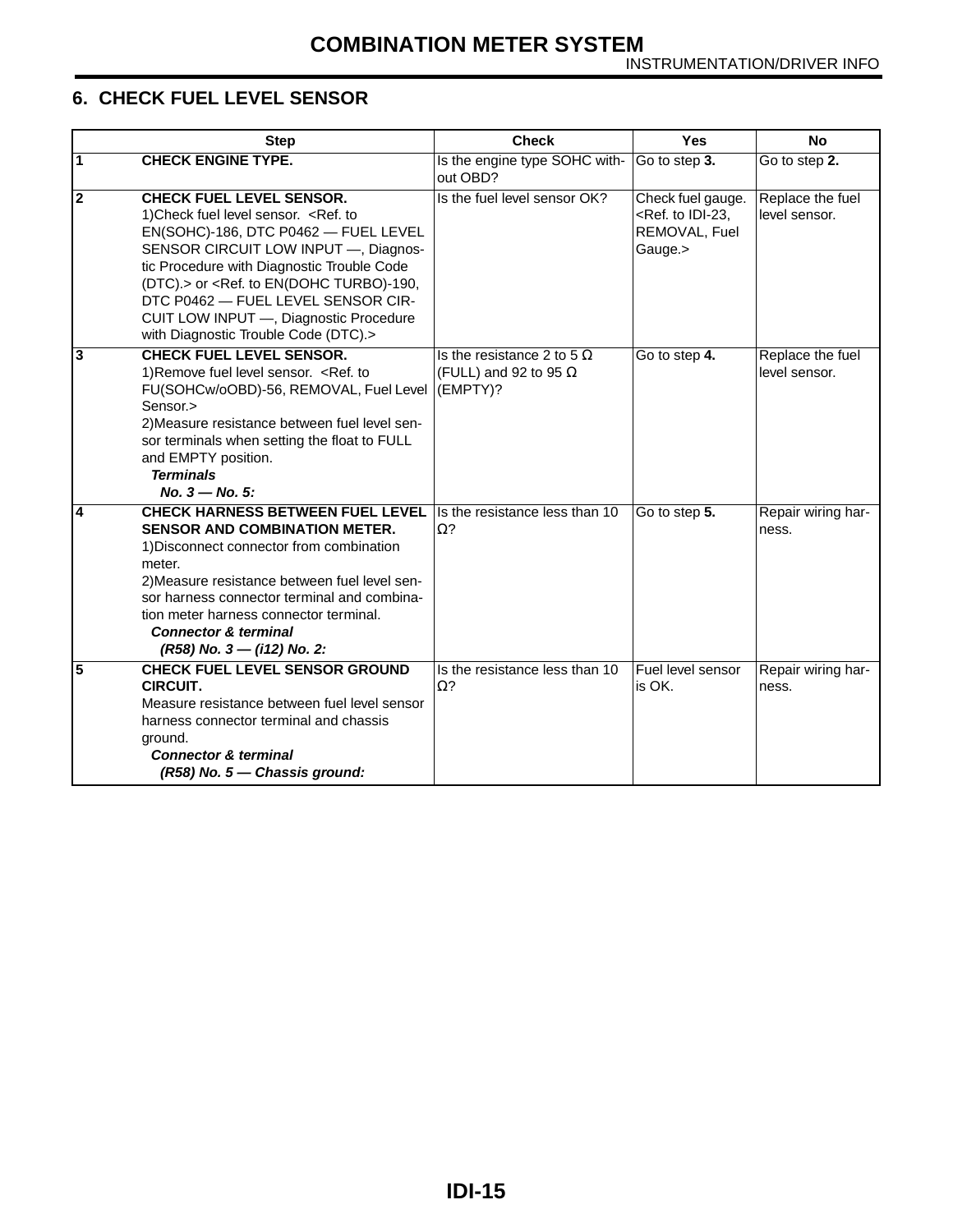#### <span id="page-15-0"></span>**6. CHECK FUEL LEVEL SENSOR**

<span id="page-15-4"></span><span id="page-15-3"></span><span id="page-15-2"></span><span id="page-15-1"></span>

|                | <b>Step</b>                                                                                                                                                                                                                                                                                                                                                                                    | <b>Check</b>                                                                  | <b>Yes</b>                                                                         | <b>No</b>                         |
|----------------|------------------------------------------------------------------------------------------------------------------------------------------------------------------------------------------------------------------------------------------------------------------------------------------------------------------------------------------------------------------------------------------------|-------------------------------------------------------------------------------|------------------------------------------------------------------------------------|-----------------------------------|
| $\vert$ 1      | <b>CHECK ENGINE TYPE.</b>                                                                                                                                                                                                                                                                                                                                                                      | Is the engine type SOHC with-<br>out OBD?                                     | Go to step 3.                                                                      | Go to step 2.                     |
| $\overline{2}$ | <b>CHECK FUEL LEVEL SENSOR.</b><br>1) Check fuel level sensor. < Ref. to<br>EN(SOHC)-186, DTC P0462 - FUEL LEVEL<br>SENSOR CIRCUIT LOW INPUT -, Diagnos-<br>tic Procedure with Diagnostic Trouble Code<br>(DTC).> or <ref. en(dohc="" to="" turbo)-190,<br="">DTC P0462 - FUEL LEVEL SENSOR CIR-<br/>CUIT LOW INPUT -, Diagnostic Procedure<br/>with Diagnostic Trouble Code (DTC).&gt;</ref.> | Is the fuel level sensor OK?                                                  | Check fuel gauge.<br><ref. idi-23,<br="" to="">REMOVAL, Fuel<br/>Gauge.&gt;</ref.> | Replace the fuel<br>level sensor. |
| 3              | <b>CHECK FUEL LEVEL SENSOR.</b><br>1) Remove fuel level sensor. < Ref. to<br>FU(SOHCw/oOBD)-56, REMOVAL, Fuel Level<br>Sensor.><br>2) Measure resistance between fuel level sen-<br>sor terminals when setting the float to FULL<br>and EMPTY position.<br><b>Terminals</b><br>$No. 3 - No. 5:$                                                                                                | Is the resistance 2 to 5 $\Omega$<br>(FULL) and 92 to 95 $\Omega$<br>(EMPTY)? | Go to step 4.                                                                      | Replace the fuel<br>level sensor. |
| 4              | <b>CHECK HARNESS BETWEEN FUEL LEVEL</b><br><b>SENSOR AND COMBINATION METER.</b><br>1) Disconnect connector from combination<br>meter.<br>2) Measure resistance between fuel level sen-<br>sor harness connector terminal and combina-<br>tion meter harness connector terminal.<br><b>Connector &amp; terminal</b><br>$(R58)$ No. 3 – $(i12)$ No. 2:                                           | Is the resistance less than 10<br>$\Omega$ ?                                  | Go to step 5.                                                                      | Repair wiring har-<br>ness.       |
| 5              | <b>CHECK FUEL LEVEL SENSOR GROUND</b><br><b>CIRCUIT.</b><br>Measure resistance between fuel level sensor<br>harness connector terminal and chassis<br>ground.<br><b>Connector &amp; terminal</b><br>(R58) No. 5 - Chassis ground:                                                                                                                                                              | Is the resistance less than 10<br>$\Omega$ ?                                  | Fuel level sensor<br>is OK.                                                        | Repair wiring har-<br>ness.       |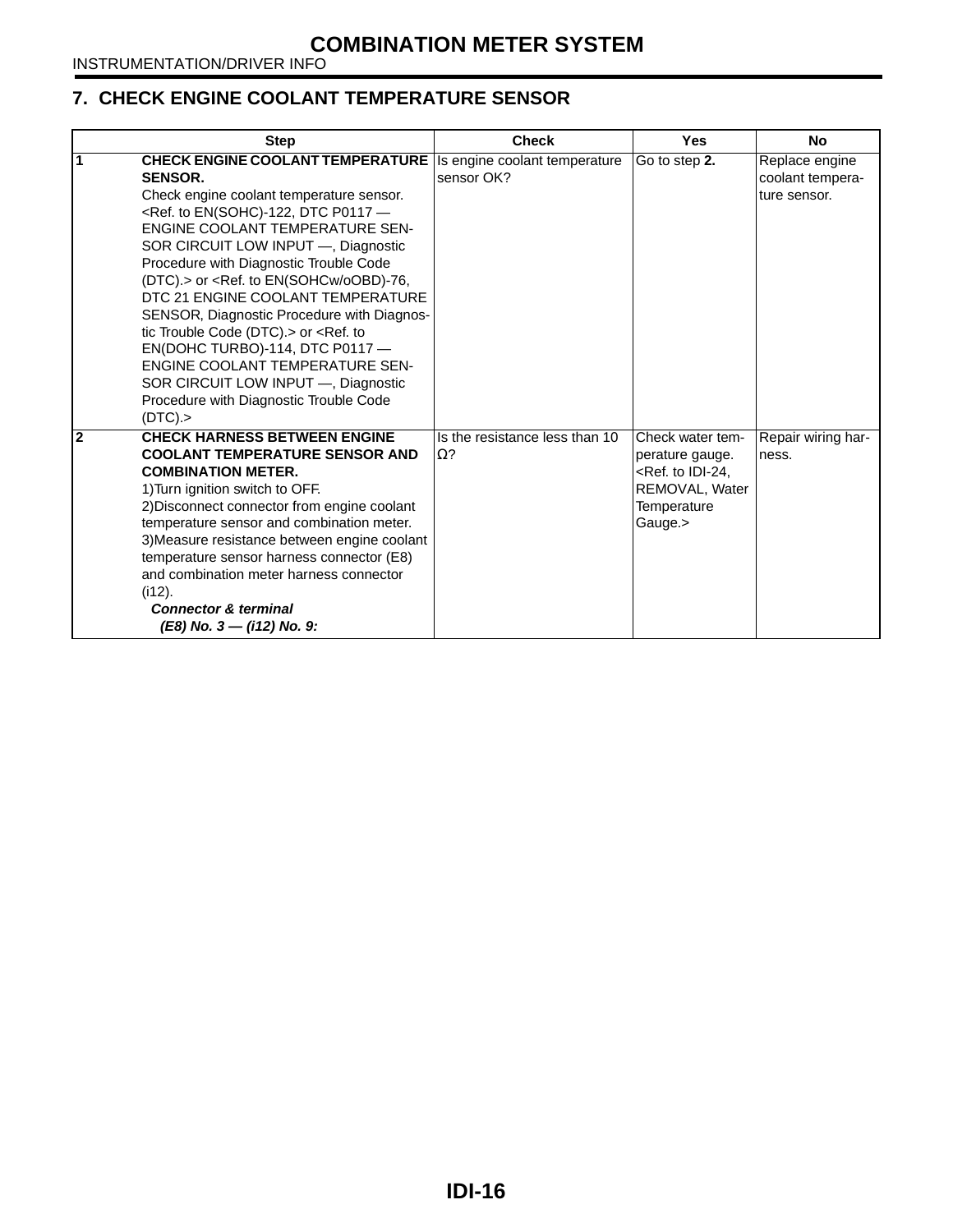#### <span id="page-16-0"></span>**7. CHECK ENGINE COOLANT TEMPERATURE SENSOR**

<span id="page-16-1"></span>

| <b>Step</b>                                                                                                                                                                                                                                                                                                                                                                                                                                                                                                                                                                                                                                                                     | <b>Check</b>                                 | <b>Yes</b>                                                                                                            | <b>No</b>                                          |
|---------------------------------------------------------------------------------------------------------------------------------------------------------------------------------------------------------------------------------------------------------------------------------------------------------------------------------------------------------------------------------------------------------------------------------------------------------------------------------------------------------------------------------------------------------------------------------------------------------------------------------------------------------------------------------|----------------------------------------------|-----------------------------------------------------------------------------------------------------------------------|----------------------------------------------------|
| <b>CHECK ENGINE COOLANT TEMPERATURE</b><br><b>SENSOR.</b><br>Check engine coolant temperature sensor.<br><ref. -<br="" dtc="" en(sohc)-122,="" p0117="" to="">ENGINE COOLANT TEMPERATURE SEN-<br/>SOR CIRCUIT LOW INPUT -, Diagnostic<br/>Procedure with Diagnostic Trouble Code<br/>(DTC).&gt; or <ref. en(sohcw="" oobd)-76,<br="" to="">DTC 21 ENGINE COOLANT TEMPERATURE<br/>SENSOR, Diagnostic Procedure with Diagnos-<br/>tic Trouble Code (DTC). &gt; or <ref. to<br="">EN(DOHC TURBO)-114, DTC P0117-<br/><b>ENGINE COOLANT TEMPERATURE SEN-</b><br/>SOR CIRCUIT LOW INPUT -, Diagnostic<br/>Procedure with Diagnostic Trouble Code<br/>(DTC).&gt;</ref.></ref.></ref.> | Is engine coolant temperature<br>sensor OK?  | Go to step 2.                                                                                                         | Replace engine<br>coolant tempera-<br>ture sensor. |
| <b>CHECK HARNESS BETWEEN ENGINE</b><br>$\overline{2}$<br><b>COOLANT TEMPERATURE SENSOR AND</b><br><b>COMBINATION METER.</b><br>1) Turn ignition switch to OFF.<br>2) Disconnect connector from engine coolant<br>temperature sensor and combination meter.<br>3) Measure resistance between engine coolant<br>temperature sensor harness connector (E8)<br>and combination meter harness connector<br>$(i12)$ .<br><b>Connector &amp; terminal</b><br>$(E8)$ No. 3 – (i12) No. 9:                                                                                                                                                                                               | Is the resistance less than 10<br>$\Omega$ ? | Check water tem-<br>perature gauge.<br><ref. idi-24,<br="" to="">REMOVAL, Water<br/>Temperature<br/>Gauge.&gt;</ref.> | Repair wiring har-<br>ness.                        |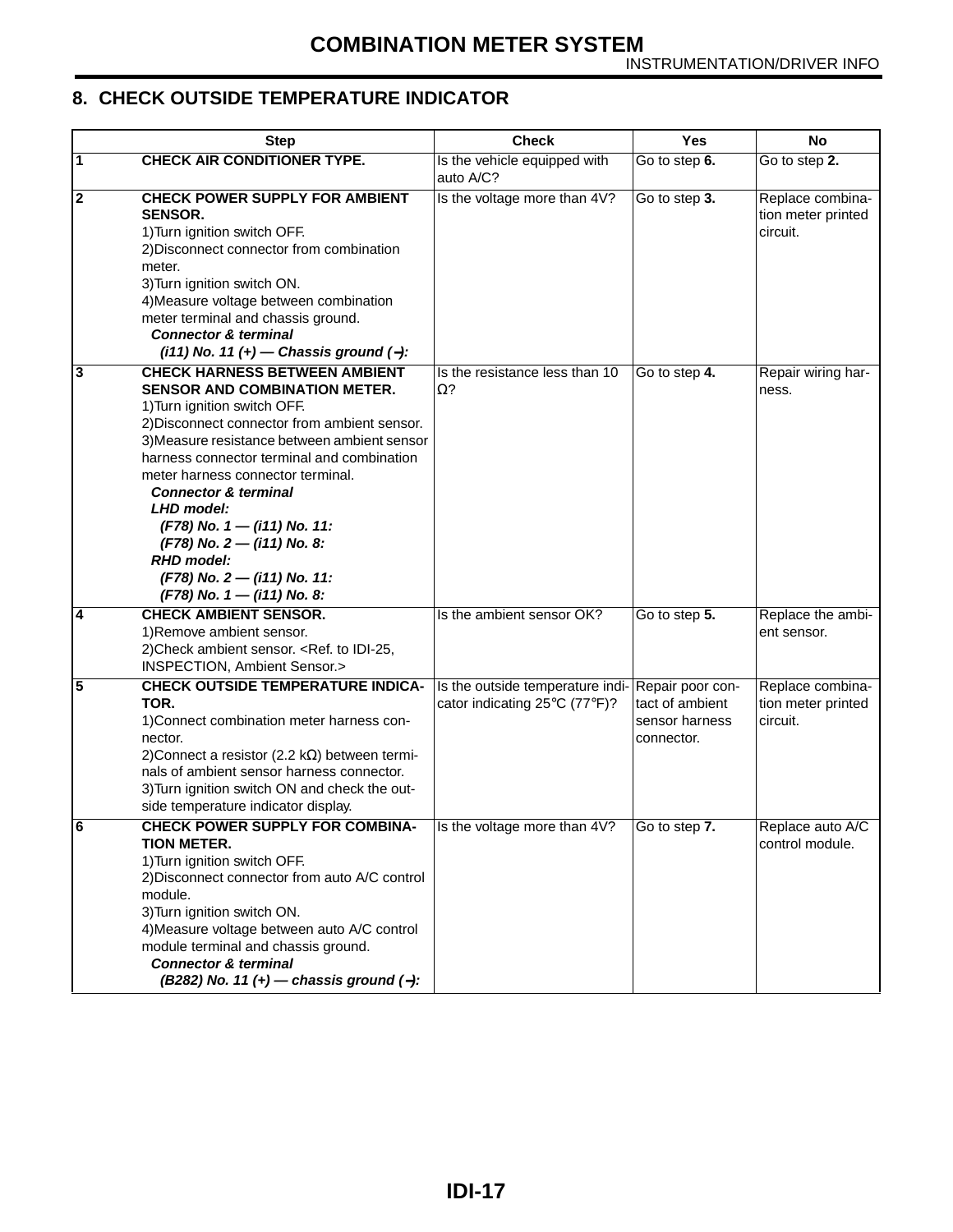#### <span id="page-17-0"></span>**8. CHECK OUTSIDE TEMPERATURE INDICATOR**

<span id="page-17-5"></span><span id="page-17-4"></span><span id="page-17-3"></span><span id="page-17-2"></span><span id="page-17-1"></span>

|                         | <b>Step</b>                                                                                                                                                                                                                                                                                                                                                                                                                                                                                           | <b>Check</b>                                                      | <b>Yes</b>                                                          | <b>No</b>                                          |
|-------------------------|-------------------------------------------------------------------------------------------------------------------------------------------------------------------------------------------------------------------------------------------------------------------------------------------------------------------------------------------------------------------------------------------------------------------------------------------------------------------------------------------------------|-------------------------------------------------------------------|---------------------------------------------------------------------|----------------------------------------------------|
| Ι1                      | <b>CHECK AIR CONDITIONER TYPE.</b>                                                                                                                                                                                                                                                                                                                                                                                                                                                                    | Is the vehicle equipped with<br>auto A/C?                         | Go to step 6.                                                       | Go to step 2.                                      |
| $\overline{\mathbf{2}}$ | <b>CHECK POWER SUPPLY FOR AMBIENT</b><br><b>SENSOR.</b><br>1) Turn ignition switch OFF.<br>2) Disconnect connector from combination<br>meter.<br>3) Turn ignition switch ON.<br>4) Measure voltage between combination<br>meter terminal and chassis ground.<br><b>Connector &amp; terminal</b><br>$(i11)$ No. 11 (+) - Chassis ground (-):                                                                                                                                                           | Is the voltage more than 4V?                                      | Go to step 3.                                                       | Replace combina-<br>tion meter printed<br>circuit. |
| 3                       | <b>CHECK HARNESS BETWEEN AMBIENT</b><br><b>SENSOR AND COMBINATION METER.</b><br>1) Turn ignition switch OFF.<br>2) Disconnect connector from ambient sensor.<br>3) Measure resistance between ambient sensor<br>harness connector terminal and combination<br>meter harness connector terminal.<br><b>Connector &amp; terminal</b><br>LHD model:<br>(F78) No. 1 - (i11) No. 11:<br>$(F78)$ No. 2 – (i11) No. 8:<br><b>RHD</b> model:<br>$(F78)$ No. 2 – (i11) No. 11:<br>$(F78)$ No. 1 – (i11) No. 8: | Is the resistance less than 10<br>$\Omega$ ?                      | Go to step 4.                                                       | Repair wiring har-<br>ness.                        |
| 4                       | <b>CHECK AMBIENT SENSOR.</b><br>1) Remove ambient sensor.<br>2) Check ambient sensor. < Ref. to IDI-25,<br>INSPECTION, Ambient Sensor.>                                                                                                                                                                                                                                                                                                                                                               | Is the ambient sensor OK?                                         | Go to step 5.                                                       | Replace the ambi-<br>ent sensor.                   |
| 5                       | <b>CHECK OUTSIDE TEMPERATURE INDICA-</b><br>TOR.<br>1) Connect combination meter harness con-<br>nector.<br>2) Connect a resistor (2.2 k $\Omega$ ) between termi-<br>nals of ambient sensor harness connector.<br>3) Turn ignition switch ON and check the out-<br>side temperature indicator display.                                                                                                                                                                                               | Is the outside temperature indi-<br>cator indicating 25°C (77°F)? | Repair poor con-<br>tact of ambient<br>sensor harness<br>connector. | Replace combina-<br>tion meter printed<br>circuit. |
| O                       | <b>CHECK POWER SUPPLY FOR COMBINA-</b><br><b>TION METER.</b><br>1) Turn ignition switch OFF.<br>2) Disconnect connector from auto A/C control<br>module.<br>3) Turn ignition switch ON.<br>4) Measure voltage between auto A/C control<br>module terminal and chassis ground.<br><b>Connector &amp; terminal</b><br>(B282) No. 11 (+) - chassis ground (-):                                                                                                                                           | Is the voltage more than 4V?                                      | $\overline{1}$ Go to step 7.                                        | Replace auto A/C<br>control module.                |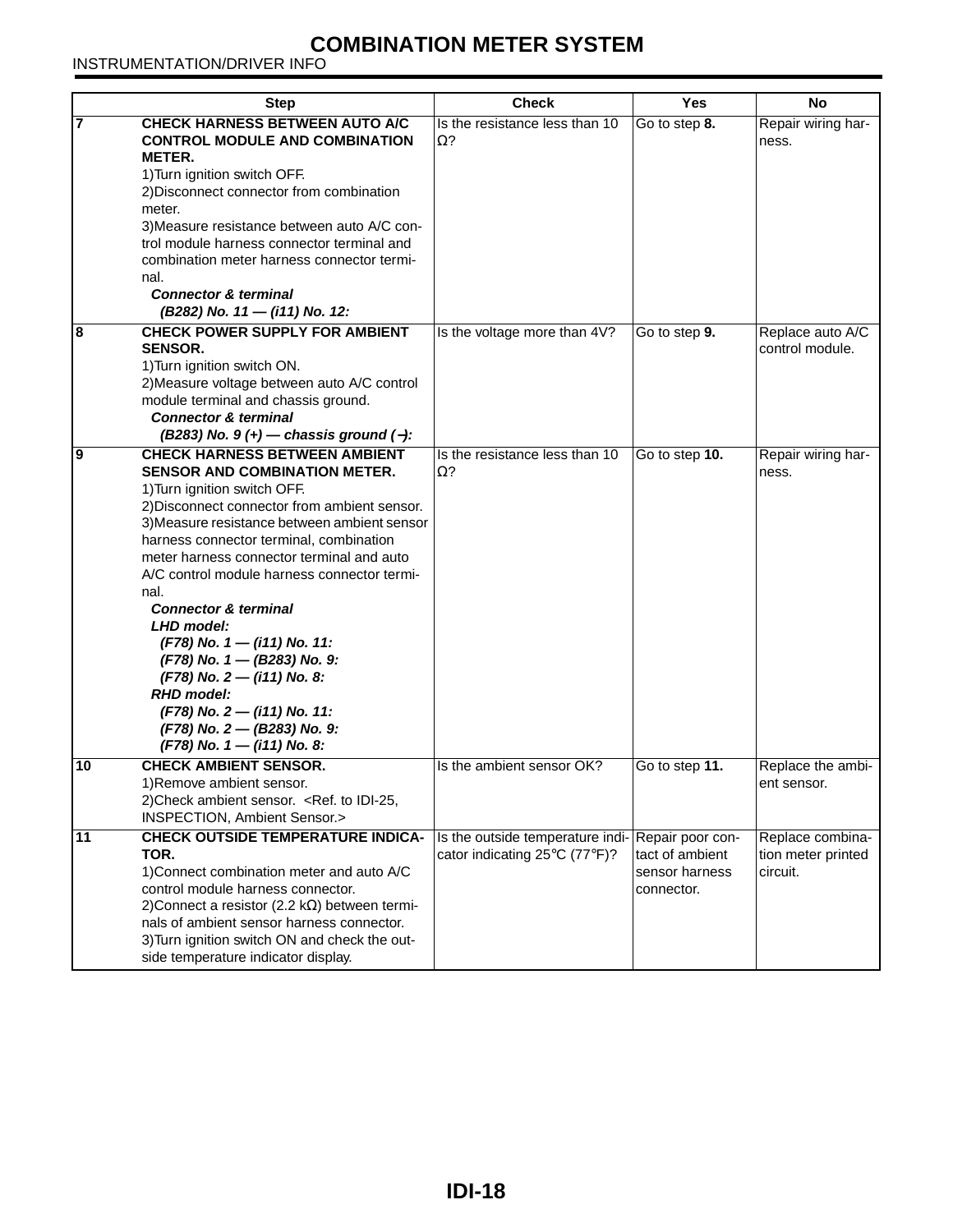INSTRUMENTATION/DRIVER INFO

<span id="page-18-4"></span><span id="page-18-3"></span><span id="page-18-2"></span><span id="page-18-1"></span><span id="page-18-0"></span>

|    | <b>Step</b>                                                                                                                                                                                                                                                                                                                                                                                                                                                                                                                                                                                                                     | <b>Check</b>                                                                      | <b>Yes</b>                                      | No                                                 |
|----|---------------------------------------------------------------------------------------------------------------------------------------------------------------------------------------------------------------------------------------------------------------------------------------------------------------------------------------------------------------------------------------------------------------------------------------------------------------------------------------------------------------------------------------------------------------------------------------------------------------------------------|-----------------------------------------------------------------------------------|-------------------------------------------------|----------------------------------------------------|
| 17 | <b>CHECK HARNESS BETWEEN AUTO A/C</b><br><b>CONTROL MODULE AND COMBINATION</b><br>METER.<br>1) Turn ignition switch OFF.<br>2) Disconnect connector from combination<br>meter.<br>3) Measure resistance between auto A/C con-<br>trol module harness connector terminal and<br>combination meter harness connector termi-<br>nal.<br><b>Connector &amp; terminal</b><br>(B282) No. 11 - (i11) No. 12:                                                                                                                                                                                                                           | Is the resistance less than 10<br>$\Omega$ ?                                      | Go to step 8.                                   | Repair wiring har-<br>ness.                        |
| 8  | <b>CHECK POWER SUPPLY FOR AMBIENT</b><br><b>SENSOR.</b><br>1) Turn ignition switch ON.<br>2) Measure voltage between auto A/C control<br>module terminal and chassis ground.<br><b>Connector &amp; terminal</b><br>(B283) No. $9 (+)$ - chassis ground (-):                                                                                                                                                                                                                                                                                                                                                                     | Is the voltage more than 4V?                                                      | Go to step 9.                                   | Replace auto A/C<br>control module.                |
| l9 | <b>CHECK HARNESS BETWEEN AMBIENT</b><br><b>SENSOR AND COMBINATION METER.</b><br>1) Turn ignition switch OFF.<br>2) Disconnect connector from ambient sensor.<br>3) Measure resistance between ambient sensor<br>harness connector terminal, combination<br>meter harness connector terminal and auto<br>A/C control module harness connector termi-<br>nal.<br><b>Connector &amp; terminal</b><br>LHD model:<br>$(F78)$ No. 1 – (i11) No. 11:<br>(F78) No. 1 - (B283) No. 9:<br>$(F78)$ No. 2 – (i11) No. 8:<br><b>RHD</b> model:<br>(F78) No. 2 - (i11) No. 11:<br>(F78) No. 2 - (B283) No. 9:<br>$(F78)$ No. 1 – (i11) No. 8: | Is the resistance less than 10<br>$\Omega$ ?                                      | Go to step 10.                                  | Repair wiring har-<br>ness.                        |
| 10 | <b>CHECK AMBIENT SENSOR.</b><br>1) Remove ambient sensor.<br>2) Check ambient sensor. < Ref. to IDI-25,<br><b>INSPECTION, Ambient Sensor.&gt;</b>                                                                                                                                                                                                                                                                                                                                                                                                                                                                               | Is the ambient sensor OK?                                                         | Go to step 11.                                  | Replace the ambi-<br>ent sensor.                   |
| 11 | <b>CHECK OUTSIDE TEMPERATURE INDICA-</b><br>TOR.<br>1) Connect combination meter and auto A/C<br>control module harness connector.<br>2) Connect a resistor (2.2 k $\Omega$ ) between termi-<br>nals of ambient sensor harness connector.<br>3) Turn ignition switch ON and check the out-<br>side temperature indicator display.                                                                                                                                                                                                                                                                                               | Is the outside temperature indi-Repair poor con-<br>cator indicating 25°C (77°F)? | tact of ambient<br>sensor harness<br>connector. | Replace combina-<br>tion meter printed<br>circuit. |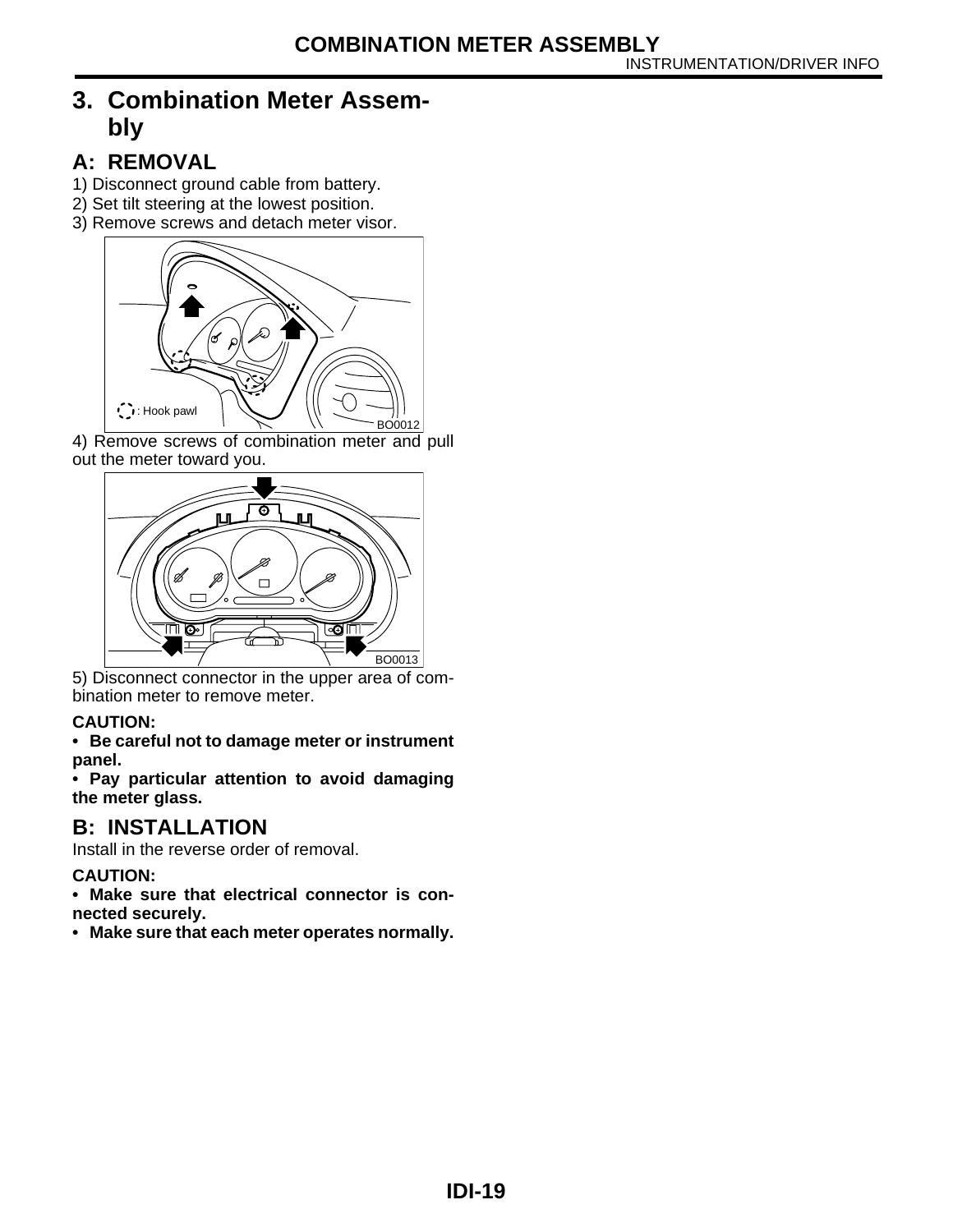# <span id="page-19-0"></span>**3. Combination Meter Assembly**

# <span id="page-19-1"></span>**A: REMOVAL**

- 1) Disconnect ground cable from battery.
- 2) Set tilt steering at the lowest position.
- 3) Remove screws and detach meter visor.



4) Remove screws of combination meter and pull out the meter toward you.



5) Disconnect connector in the upper area of combination meter to remove meter.

#### **CAUTION:**

**• Be careful not to damage meter or instrument panel.**

**• Pay particular attention to avoid damaging the meter glass.**

# **B: INSTALLATION**

Install in the reverse order of removal.

#### **CAUTION:**

**• Make sure that electrical connector is connected securely.**

**• Make sure that each meter operates normally.**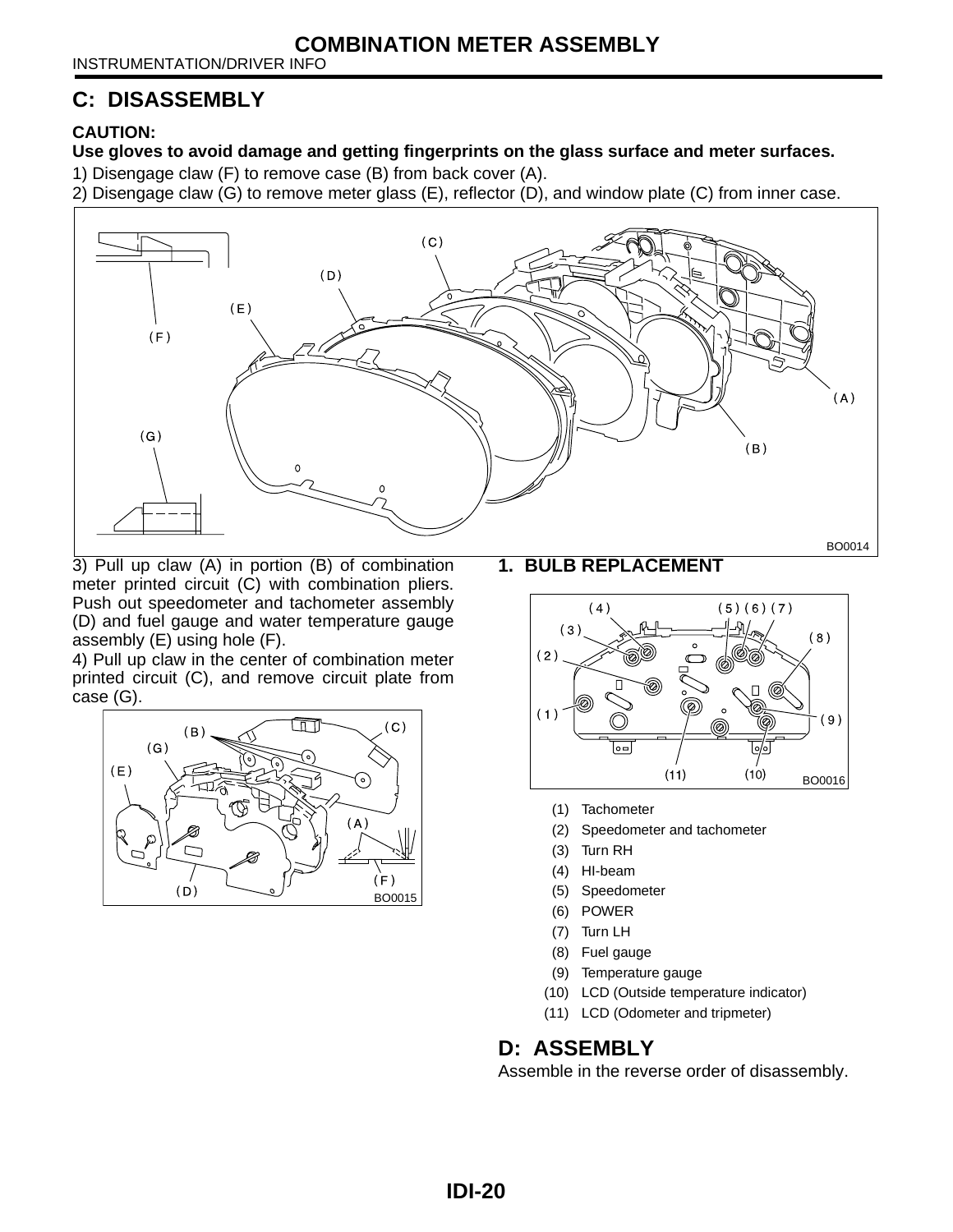INSTRUMENTATION/DRIVER INFO

#### <span id="page-20-0"></span>**C: DISASSEMBLY**

#### **CAUTION:**

**Use gloves to avoid damage and getting fingerprints on the glass surface and meter surfaces.** 

- 1) Disengage claw (F) to remove case (B) from back cover (A).
- 2) Disengage claw (G) to remove meter glass (E), reflector (D), and window plate (C) from inner case.



3) Pull up claw (A) in portion (B) of combination meter printed circuit (C) with combination pliers. Push out speedometer and tachometer assembly (D) and fuel gauge and water temperature gauge assembly (E) using hole (F).

4) Pull up claw in the center of combination meter printed circuit (C), and remove circuit plate from case (G).



**1. BULB REPLACEMENT**



- (1) Tachometer
- (2) Speedometer and tachometer
- (3) Turn RH
- (4) HI-beam
- (5) Speedometer
- (6) POWER
- (7) Turn LH
- (8) Fuel gauge
- (9) Temperature gauge
- (10) LCD (Outside temperature indicator)
- (11) LCD (Odometer and tripmeter)

#### **D: ASSEMBLY**

Assemble in the reverse order of disassembly.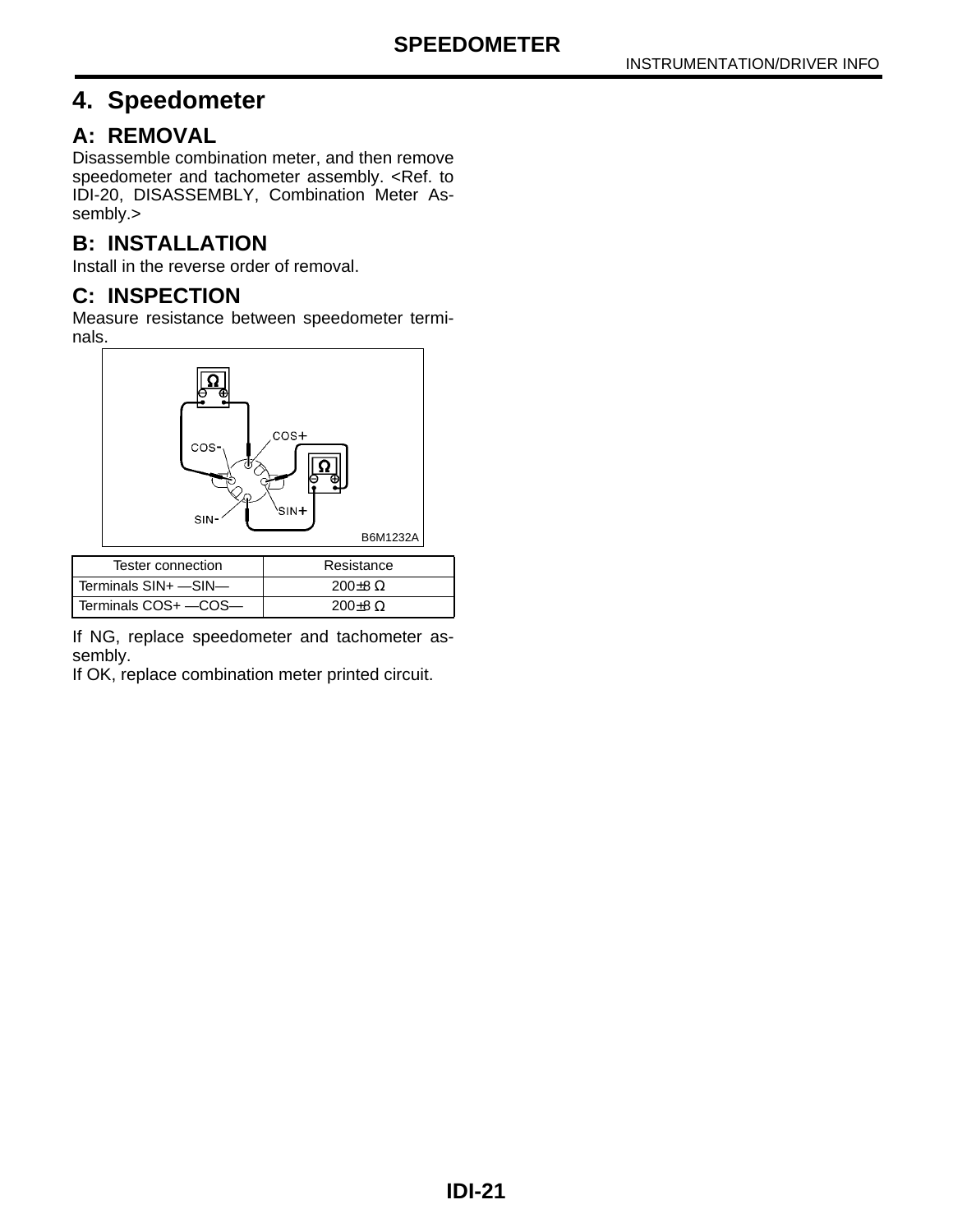# <span id="page-21-0"></span>**4. Speedometer**

#### <span id="page-21-1"></span>**A: REMOVAL**

Disassemble combination meter, and then remove speedometer and tachometer assembly. [<Ref. to](#page-20-0) [IDI-20, DISASSEMBLY, Combination Meter As](#page-20-0)[sembly.>](#page-20-0)

# **B: INSTALLATION**

Install in the reverse order of removal.

#### **C: INSPECTION**

Measure resistance between speedometer terminals.



| Tester connection      | Resistance         |
|------------------------|--------------------|
| Terminals SIN+ -SIN-   | 200 $±8$ Ω         |
| l Terminals COS+ —COS— | $200\pm8$ $\Omega$ |

If NG, replace speedometer and tachometer assembly.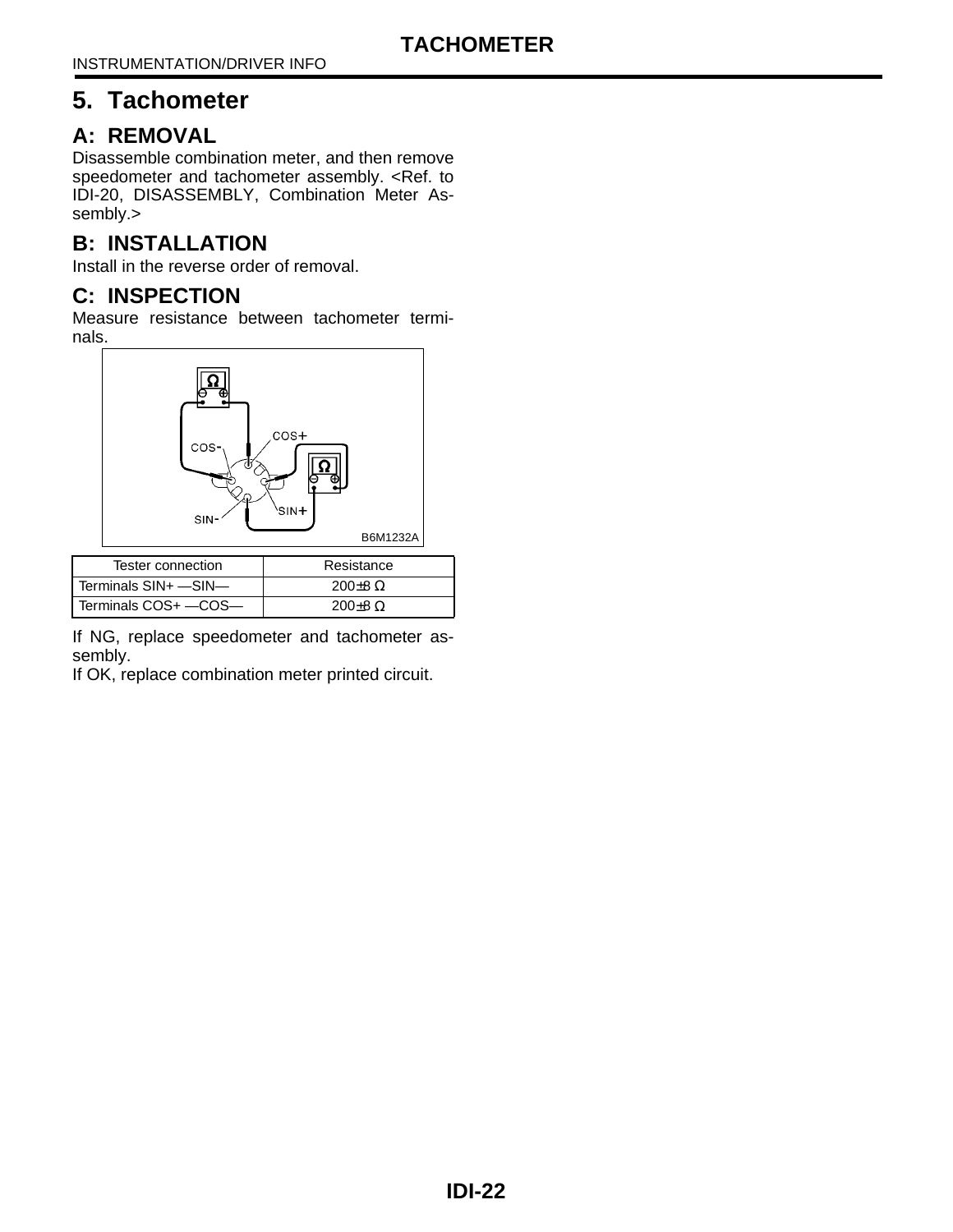# <span id="page-22-0"></span>**5. Tachometer**

#### <span id="page-22-1"></span>**A: REMOVAL**

Disassemble combination meter, and then remove speedometer and tachometer assembly. [<Ref. to](#page-20-0) [IDI-20, DISASSEMBLY, Combination Meter As](#page-20-0)[sembly.>](#page-20-0)

# **B: INSTALLATION**

Install in the reverse order of removal.

#### **C: INSPECTION**

Measure resistance between tachometer terminals.



| Tester connection      | Resistance         |
|------------------------|--------------------|
| l Terminals SIN+ —SIN— | $200\pm8$ $\Omega$ |
| l Terminals COS+ —COS— | $200\pm8$ $\Omega$ |

If NG, replace speedometer and tachometer assembly.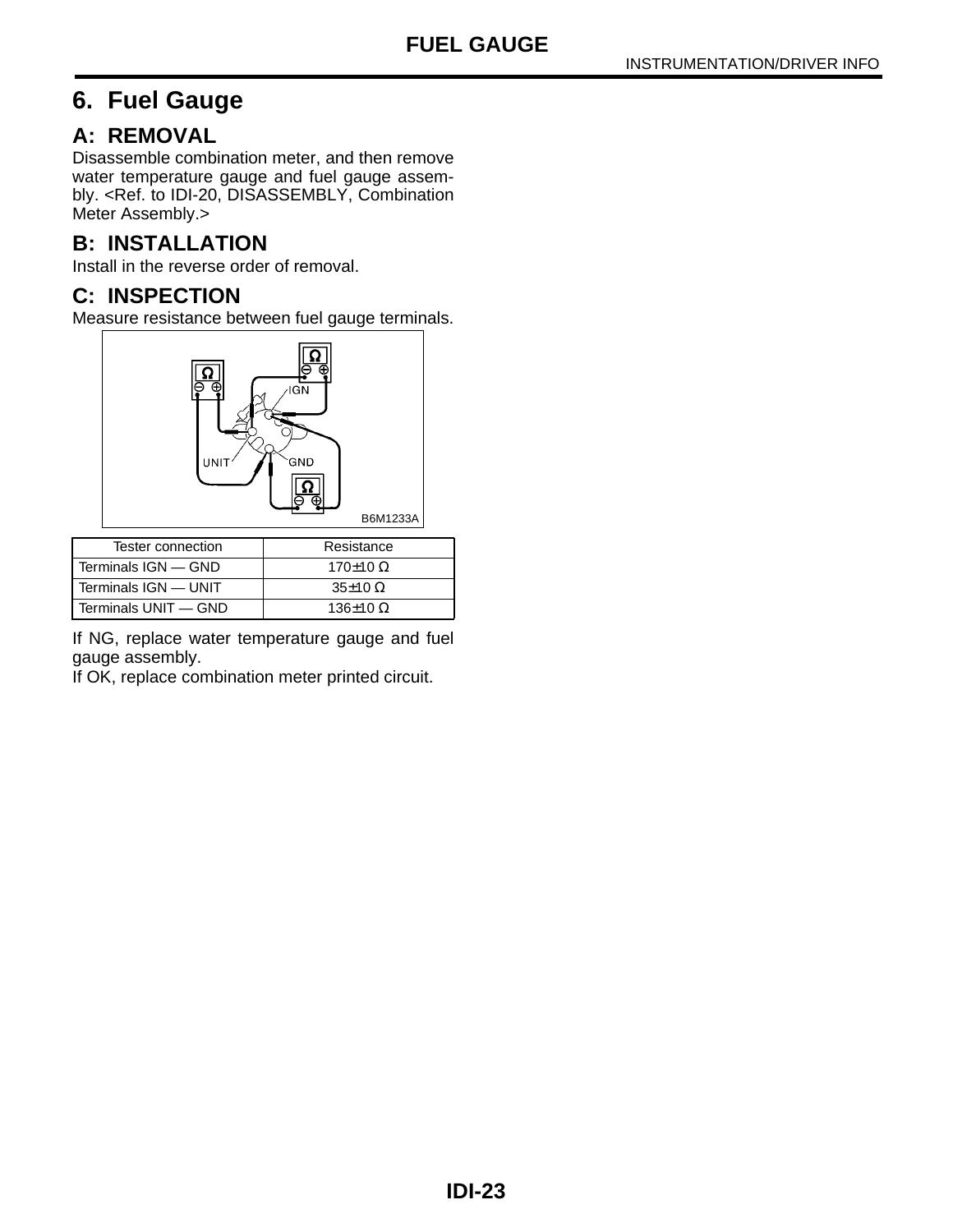# <span id="page-23-0"></span>**6. Fuel Gauge**

#### <span id="page-23-1"></span>**A: REMOVAL**

Disassemble combination meter, and then remove water temperature gauge and fuel gauge assembly. [<Ref. to IDI-20, DISASSEMBLY, Combination](#page-20-0) [Meter Assembly.>](#page-20-0)

# **B: INSTALLATION**

Install in the reverse order of removal.

#### **C: INSPECTION**

Measure resistance between fuel gauge terminals.



| Tester connection      | Resistance            |
|------------------------|-----------------------|
| Terminals IGN - GND    | 170 $±$ 10 Ω          |
| l Terminals IGN — UNIT | $35\pm10$ $\Omega$    |
| l Terminals UNIT — GND | 136 $\pm$ 10 $\Omega$ |

If NG, replace water temperature gauge and fuel gauge assembly.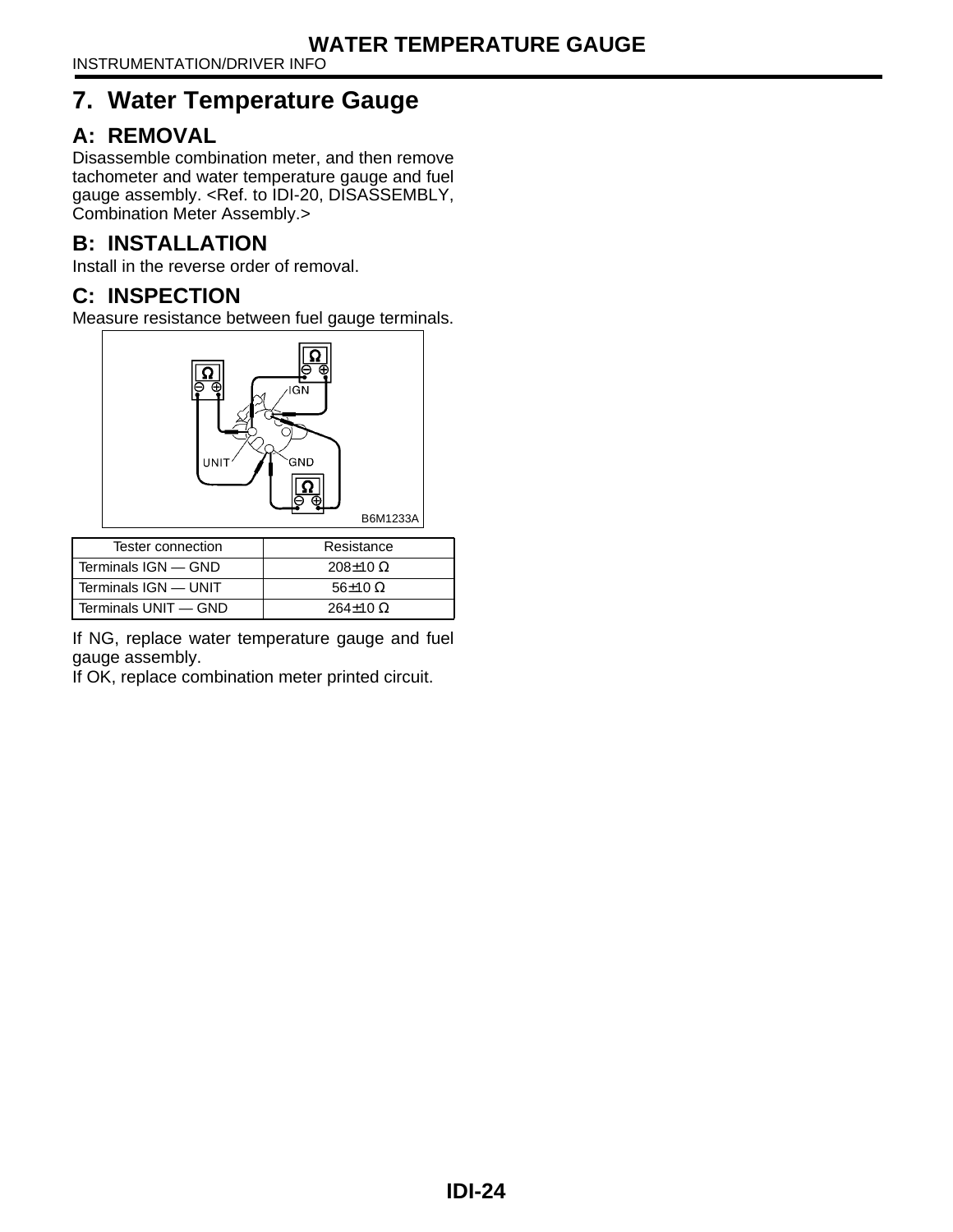# <span id="page-24-0"></span>**7. Water Temperature Gauge**

# <span id="page-24-1"></span>**A: REMOVAL**

Disassemble combination meter, and then remove tachometer and water temperature gauge and fuel gauge assembly. [<Ref. to IDI-20, DISASSEMBLY,](#page-20-0) [Combination Meter Assembly.>](#page-20-0)

# **B: INSTALLATION**

Install in the reverse order of removal.

# **C: INSPECTION**

Measure resistance between fuel gauge terminals.



| Tester connection      | Resistance        |
|------------------------|-------------------|
| Terminals IGN - GND    | $208\pm10 \Omega$ |
| l Terminals IGN — UNIT | $56\pm10 \Omega$  |
| l Terminals UNIT — GND | $264\pm10 \Omega$ |

If NG, replace water temperature gauge and fuel gauge assembly.